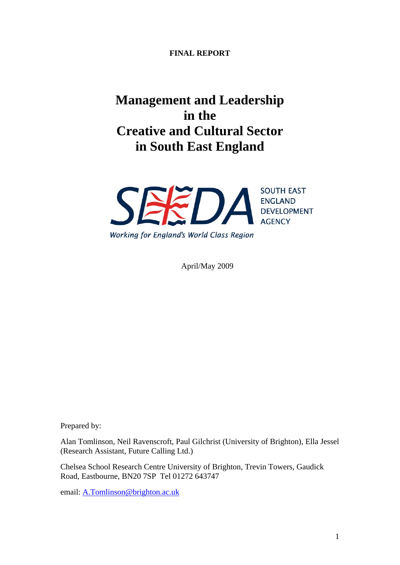### **FINAL REPORT**

# **Management and Leadership in the Creative and Cultural Sector in South East England**



April/May 2009

Prepared by:

Alan Tomlinson, Neil Ravenscroft, Paul Gilchrist (University of Brighton), Ella Jessel (Research Assistant, Future Calling Ltd.)

Chelsea School Research Centre University of Brighton, Trevin Towers, Gaudick Road, Eastbourne, BN20 7SP Tel 01272 643747

email: A.Tomlinson@brighton.ac.uk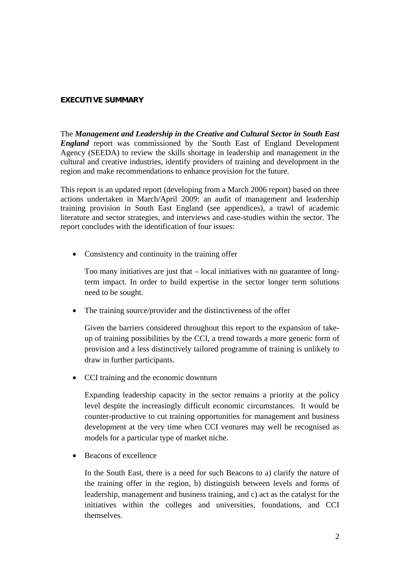#### **EXECUTIVE SUMMARY**

The *Management and Leadership in the Creative and Cultural Sector in South East England* report was commissioned by the South East of England Development Agency (SEEDA) to review the skills shortage in leadership and management in the cultural and creative industries, identify providers of training and development in the region and make recommendations to enhance provision for the future.

This report is an updated report (developing from a March 2006 report) based on three actions undertaken in March/April 2009: an audit of management and leadership training provision in South East England (see appendices), a trawl of academic literature and sector strategies, and interviews and case-studies within the sector. The report concludes with the identification of four issues:

• Consistency and continuity in the training offer

Too many initiatives are just that – local initiatives with no guarantee of longterm impact. In order to build expertise in the sector longer term solutions need to be sought.

• The training source/provider and the distinctiveness of the offer

Given the barriers considered throughout this report to the expansion of takeup of training possibilities by the CCI, a trend towards a more generic form of provision and a less distinctively tailored programme of training is unlikely to draw in further participants.

• CCI training and the economic downturn

Expanding leadership capacity in the sector remains a priority at the policy level despite the increasingly difficult economic circumstances. It would be counter-productive to cut training opportunities for management and business development at the very time when CCI ventures may well be recognised as models for a particular type of market niche.

Beacons of excellence

In the South East, there is a need for such Beacons to a) clarify the nature of the training offer in the region, b) distinguish between levels and forms of leadership, management and business training, and c) act as the catalyst for the initiatives within the colleges and universities, foundations, and CCI themselves.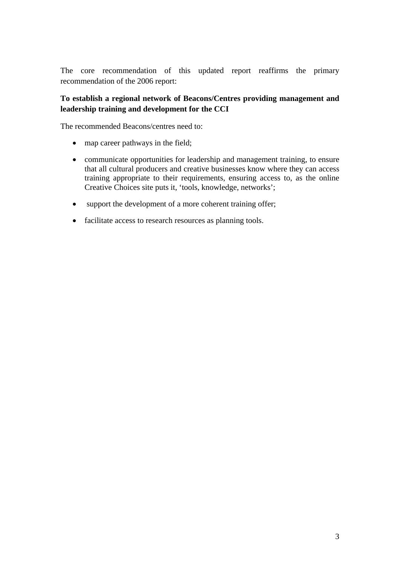The core recommendation of this updated report reaffirms the primary recommendation of the 2006 report:

## **To establish a regional network of Beacons/Centres providing management and leadership training and development for the CCI**

The recommended Beacons/centres need to:

- map career pathways in the field;
- communicate opportunities for leadership and management training, to ensure that all cultural producers and creative businesses know where they can access training appropriate to their requirements, ensuring access to, as the online Creative Choices site puts it, 'tools, knowledge, networks';
- support the development of a more coherent training offer;
- facilitate access to research resources as planning tools.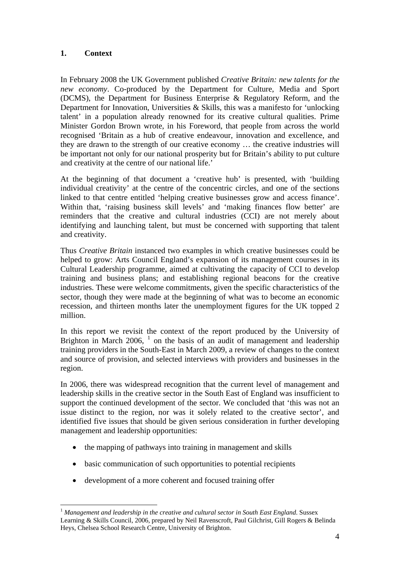## **1. Context**

In February 2008 the UK Government published *Creative Britain: new talents for the new economy*. Co-produced by the Department for Culture, Media and Sport (DCMS), the Department for Business Enterprise & Regulatory Reform, and the Department for Innovation, Universities & Skills, this was a manifesto for 'unlocking talent' in a population already renowned for its creative cultural qualities. Prime Minister Gordon Brown wrote, in his Foreword, that people from across the world recognised 'Britain as a hub of creative endeavour, innovation and excellence, and they are drawn to the strength of our creative economy … the creative industries will be important not only for our national prosperity but for Britain's ability to put culture and creativity at the centre of our national life.'

At the beginning of that document a 'creative hub' is presented, with 'building individual creativity' at the centre of the concentric circles, and one of the sections linked to that centre entitled 'helping creative businesses grow and access finance'. Within that, 'raising business skill levels' and 'making finances flow better' are reminders that the creative and cultural industries (CCI) are not merely about identifying and launching talent, but must be concerned with supporting that talent and creativity.

Thus *Creative Britain* instanced two examples in which creative businesses could be helped to grow: Arts Council England's expansion of its management courses in its Cultural Leadership programme, aimed at cultivating the capacity of CCI to develop training and business plans; and establishing regional beacons for the creative industries. These were welcome commitments, given the specific characteristics of the sector, though they were made at the beginning of what was to become an economic recession, and thirteen months later the unemployment figures for the UK topped 2 million.

In this report we revisit the context of the report produced by the University of Brighton in March 2006,  $1$  on the basis of an audit of management and leadership training providers in the South-East in March 2009, a review of changes to the context and source of provision, and selected interviews with providers and businesses in the region.

In 2006, there was widespread recognition that the current level of management and leadership skills in the creative sector in the South East of England was insufficient to support the continued development of the sector. We concluded that 'this was not an issue distinct to the region, nor was it solely related to the creative sector', and identified five issues that should be given serious consideration in further developing management and leadership opportunities:

- the mapping of pathways into training in management and skills
- basic communication of such opportunities to potential recipients
- development of a more coherent and focused training offer

<span id="page-3-0"></span><sup>-</sup><sup>1</sup> *Management and leadership in the creative and cultural sector in South East England*. Sussex Learning & Skills Council, 2006, prepared by Neil Ravenscroft, Paul Gilchrist, Gill Rogers & Belinda Heys, Chelsea School Research Centre, University of Brighton.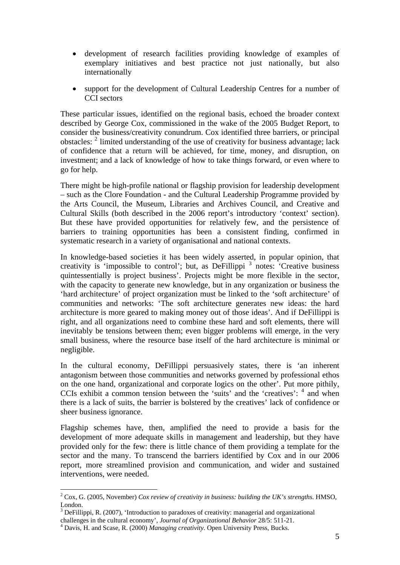- development of research facilities providing knowledge of examples of exemplary initiatives and best practice not just nationally, but also internationally
- support for the development of Cultural Leadership Centres for a number of CCI sectors

These particular issues, identified on the regional basis, echoed the broader context described by George Cox, commissioned in the wake of the 2005 Budget Report, to consider the business/creativity conundrum. Cox identified three barriers, or principal obstacles: <sup>[2](#page-4-0)</sup> limited understanding of the use of creativity for business advantage; lack of confidence that a return will be achieved, for time, money, and disruption, on investment; and a lack of knowledge of how to take things forward, or even where to go for help.

There might be high-profile national or flagship provision for leadership development – such as the Clore Foundation - and the Cultural Leadership Programme provided by the Arts Council, the Museum, Libraries and Archives Council, and Creative and Cultural Skills (both described in the 2006 report's introductory 'context' section). But these have provided opportunities for relatively few, and the persistence of barriers to training opportunities has been a consistent finding, confirmed in systematic research in a variety of organisational and national contexts.

In knowledge-based societies it has been widely asserted, in popular opinion, that creativity is 'impossible to control'; but, as DeFillippi<sup>[3](#page-4-1)</sup> notes: 'Creative business quintessentially is project business'. Projects might be more flexible in the sector, with the capacity to generate new knowledge, but in any organization or business the 'hard architecture' of project organization must be linked to the 'soft architecture' of communities and networks: 'The soft architecture generates new ideas: the hard architecture is more geared to making money out of those ideas'. And if DeFillippi is right, and all organizations need to combine these hard and soft elements, there will inevitably be tensions between them; even bigger problems will emerge, in the very small business, where the resource base itself of the hard architecture is minimal or negligible.

In the cultural economy, DeFillippi persuasively states, there is 'an inherent antagonism between those communities and networks governed by professional ethos on the one hand, organizational and corporate logics on the other'. Put more pithily, CCIs exhibit a common tension between the 'suits' and the 'creatives': <sup>[4](#page-4-2)</sup> and when there is a lack of suits, the barrier is bolstered by the creatives' lack of confidence or sheer business ignorance.

Flagship schemes have, then, amplified the need to provide a basis for the development of more adequate skills in management and leadership, but they have provided only for the few: there is little chance of them providing a template for the sector and the many. To transcend the barriers identified by Cox and in our 2006 report, more streamlined provision and communication, and wider and sustained interventions, were needed.

<span id="page-4-0"></span><sup>2</sup> Cox, G. (2005, November) *Cox review of creativity in business: building the UK's strengths*. HMSO, London.

 $3$  DeFillippi, R. (2007), 'Introduction to paradoxes of creativity: managerial and organizational

<span id="page-4-1"></span>challenges in the cultural economy', *Journal of Organizational Behavior* 28/5: 511-21. 4

<span id="page-4-2"></span>Davis, H. and Scase, R. (2000) *Managing creativity*. Open University Press, Bucks.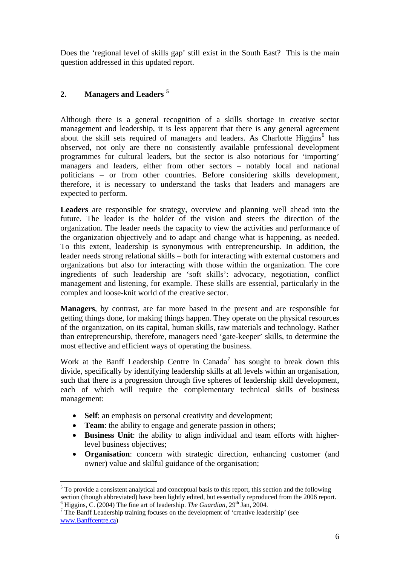Does the 'regional level of skills gap' still exist in the South East? This is the main question addressed in this updated report.

## **2. Managers and Leaders [5](#page-5-0)**

Although there is a general recognition of a skills shortage in creative sector management and leadership, it is less apparent that there is any general agreement about the skill sets required of managers and leaders. As Charlotte Higgins<sup>[6](#page-5-1)</sup> has observed, not only are there no consistently available professional development programmes for cultural leaders, but the sector is also notorious for 'importing' managers and leaders, either from other sectors – notably local and national politicians – or from other countries. Before considering skills development, therefore, it is necessary to understand the tasks that leaders and managers are expected to perform.

**Leaders** are responsible for strategy, overview and planning well ahead into the future. The leader is the holder of the vision and steers the direction of the organization. The leader needs the capacity to view the activities and performance of the organization objectively and to adapt and change what is happening, as needed. To this extent, leadership is synonymous with entrepreneurship. In addition, the leader needs strong relational skills – both for interacting with external customers and organizations but also for interacting with those within the organization. The core ingredients of such leadership are 'soft skills': advocacy, negotiation, conflict management and listening, for example. These skills are essential, particularly in the complex and loose-knit world of the creative sector.

**Managers**, by contrast, are far more based in the present and are responsible for getting things done, for making things happen. They operate on the physical resources of the organization, on its capital, human skills, raw materials and technology. Rather than entrepreneurship, therefore, managers need 'gate-keeper' skills, to determine the most effective and efficient ways of operating the business.

Work at the Banff Leadership Centre in Canada<sup>[7](#page-5-2)</sup> has sought to break down this divide, specifically by identifying leadership skills at all levels within an organisation, such that there is a progression through five spheres of leadership skill development, each of which will require the complementary technical skills of business management:

- **Self**: an emphasis on personal creativity and development;
- **Team**: the ability to engage and generate passion in others;

- **Business Unit**: the ability to align individual and team efforts with higherlevel business objectives;
- **Organisation**: concern with strategic direction, enhancing customer (and owner) value and skilful guidance of the organisation;

<span id="page-5-0"></span> $5$  To provide a consistent analytical and conceptual basis to this report, this section and the following section (though abbreviated) have been lightly edited, but essentially reproduced from the 2006 report.

<span id="page-5-2"></span><span id="page-5-1"></span><sup>&</sup>lt;sup>6</sup> Higgins, C. (2004) The fine art of leadership. *The Guardian*, 29<sup>th</sup> Jan, 2004.  $\frac{7}{7}$  The Banff Leadership training focuses on the development of 'creative leadership' (see [www.Banffcentre.ca\)](http://www.banffcentre.ca/)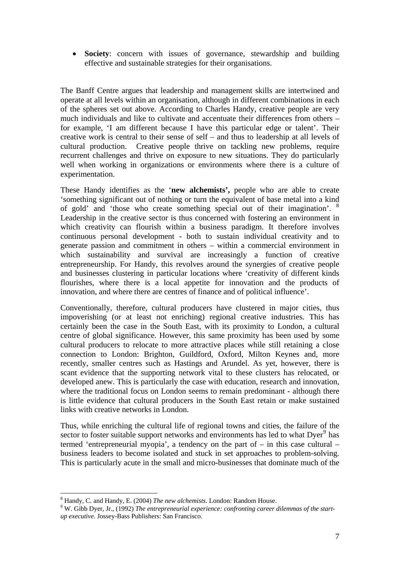• **Society**: concern with issues of governance, stewardship and building effective and sustainable strategies for their organisations.

The Banff Centre argues that leadership and management skills are intertwined and operate at all levels within an organisation, although in different combinations in each of the spheres set out above. According to Charles Handy, creative people are very much individuals and like to cultivate and accentuate their differences from others – for example, 'I am different because I have this particular edge or talent'. Their creative work is central to their sense of self – and thus to leadership at all levels of cultural production. Creative people thrive on tackling new problems, require recurrent challenges and thrive on exposure to new situations. They do particularly well when working in organizations or environments where there is a culture of experimentation.

These Handy identifies as the '**new alchemists',** people who are able to create 'something significant out of nothing or turn the equivalent of base metal into a kind of gold' and 'those who create something special out of their imagination'. [8](#page-6-0) Leadership in the creative sector is thus concerned with fostering an environment in which creativity can flourish within a business paradigm. It therefore involves continuous personal development - both to sustain individual creativity and to generate passion and commitment in others – within a commercial environment in which sustainability and survival are increasingly a function of creative entrepreneurship. For Handy, this revolves around the synergies of creative people and businesses clustering in particular locations where 'creativity of different kinds flourishes, where there is a local appetite for innovation and the products of innovation, and where there are centres of finance and of political influence'.

Conventionally, therefore, cultural producers have clustered in major cities, thus impoverishing (or at least not enriching) regional creative industries. This has certainly been the case in the South East, with its proximity to London, a cultural centre of global significance. However, this same proximity has been used by some cultural producers to relocate to more attractive places while still retaining a close connection to London: Brighton, Guildford, Oxford, Milton Keynes and, more recently, smaller centres such as Hastings and Arundel. As yet, however, there is scant evidence that the supporting network vital to these clusters has relocated, or developed anew. This is particularly the case with education, research and innovation, where the traditional focus on London seems to remain predominant - although there is little evidence that cultural producers in the South East retain or make sustained links with creative networks in London.

Thus, while enriching the cultural life of regional towns and cities, the failure of the sector to foster suitable support networks and environments has led to what Dyer<sup>[9](#page-6-1)</sup> has termed 'entrepreneurial myopia', a tendency on the part of – in this case cultural – business leaders to become isolated and stuck in set approaches to problem-solving. This is particularly acute in the small and micro-businesses that dominate much of the

<sup>-</sup><sup>8</sup> Handy, C. and Handy, E. (2004) *The new alchemists*. London: Random House.

<span id="page-6-1"></span><span id="page-6-0"></span>W. Gibb Dyer, Jr., (1992) *The entrepreneurial experience: confronting career dilemmas of the startup executive*. Jossey-Bass Publishers: San Francisco.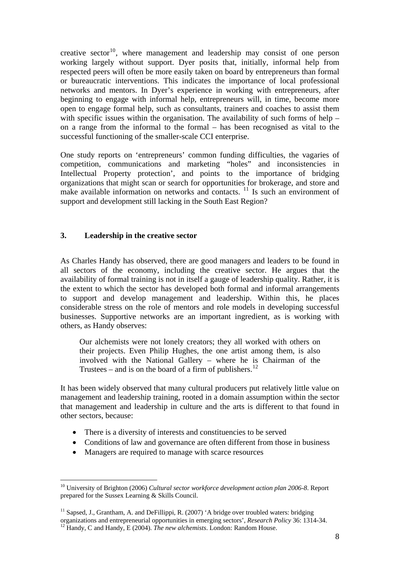creative sector<sup>[10](#page-7-0)</sup>, where management and leadership may consist of one person working largely without support. Dyer posits that, initially, informal help from respected peers will often be more easily taken on board by entrepreneurs than formal or bureaucratic interventions. This indicates the importance of local professional networks and mentors. In Dyer's experience in working with entrepreneurs, after beginning to engage with informal help, entrepreneurs will, in time, become more open to engage formal help, such as consultants, trainers and coaches to assist them with specific issues within the organisation. The availability of such forms of help – on a range from the informal to the formal – has been recognised as vital to the successful functioning of the smaller-scale CCI enterprise.

One study reports on 'entrepreneurs' common funding difficulties, the vagaries of competition, communications and marketing "holes" and inconsistencies in Intellectual Property protection', and points to the importance of bridging organizations that might scan or search for opportunities for brokerage, and store and make available information on networks and contacts.  $\frac{11}{11}$  $\frac{11}{11}$  $\frac{11}{11}$  Is such an environment of support and development still lacking in the South East Region?

#### **3. Leadership in the creative sector**

As Charles Handy has observed, there are good managers and leaders to be found in all sectors of the economy, including the creative sector. He argues that the availability of formal training is not in itself a gauge of leadership quality. Rather, it is the extent to which the sector has developed both formal and informal arrangements to support and develop management and leadership. Within this, he places considerable stress on the role of mentors and role models in developing successful businesses. Supportive networks are an important ingredient, as is working with others, as Handy observes:

Our alchemists were not lonely creators; they all worked with others on their projects. Even Philip Hughes, the one artist among them, is also involved with the National Gallery – where he is Chairman of the Trustees – and is on the board of a firm of publishers.<sup>[12](#page-7-2)</sup>

It has been widely observed that many cultural producers put relatively little value on management and leadership training, rooted in a domain assumption within the sector that management and leadership in culture and the arts is different to that found in other sectors, because:

- There is a diversity of interests and constituencies to be served
- Conditions of law and governance are often different from those in business
- Managers are required to manage with scarce resources

<span id="page-7-0"></span><sup>10</sup> University of Brighton (2006) *Cultural sector workforce development action plan 2006-8*. Report prepared for the Sussex Learning & Skills Council.

<span id="page-7-2"></span><span id="page-7-1"></span> $11$  Sapsed, J., Grantham, A. and DeFillippi, R. (2007) 'A bridge over troubled waters: bridging organizations and entrepreneurial opportunities in emerging sectors', *Research Policy* 36: 1314-34. 12 Handy, C and Handy, E (2004). *The new alchemists*. London: Random House.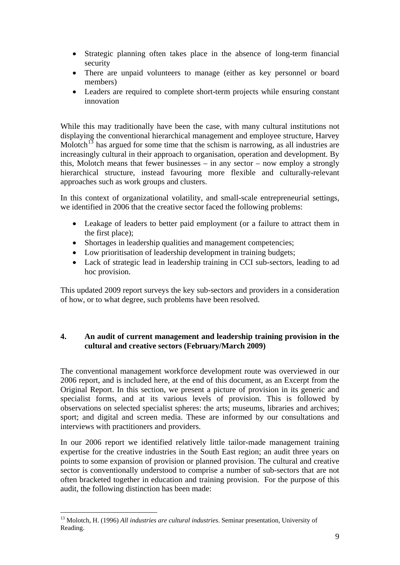- Strategic planning often takes place in the absence of long-term financial security
- There are unpaid volunteers to manage (either as key personnel or board members)
- Leaders are required to complete short-term projects while ensuring constant innovation

While this may traditionally have been the case, with many cultural institutions not displaying the conventional hierarchical management and employee structure, Harvey Molotch<sup>[13](#page-8-0)</sup> has argued for some time that the schism is narrowing, as all industries are increasingly cultural in their approach to organisation, operation and development. By this, Molotch means that fewer businesses – in any sector – now employ a strongly hierarchical structure, instead favouring more flexible and culturally-relevant approaches such as work groups and clusters.

In this context of organizational volatility, and small-scale entrepreneurial settings, we identified in 2006 that the creative sector faced the following problems:

- Leakage of leaders to better paid employment (or a failure to attract them in the first place);
- Shortages in leadership qualities and management competencies;
- Low prioritisation of leadership development in training budgets;
- Lack of strategic lead in leadership training in CCI sub-sectors, leading to ad hoc provision.

This updated 2009 report surveys the key sub-sectors and providers in a consideration of how, or to what degree, such problems have been resolved.

## **4. An audit of current management and leadership training provision in the cultural and creative sectors (February/March 2009)**

The conventional management workforce development route was overviewed in our 2006 report, and is included here, at the end of this document, as an Excerpt from the Original Report. In this section, we present a picture of provision in its generic and specialist forms, and at its various levels of provision. This is followed by observations on selected specialist spheres: the arts; museums, libraries and archives; sport; and digital and screen media. These are informed by our consultations and interviews with practitioners and providers.

In our 2006 report we identified relatively little tailor-made management training expertise for the creative industries in the South East region; an audit three years on points to some expansion of provision or planned provision. The cultural and creative sector is conventionally understood to comprise a number of sub-sectors that are not often bracketed together in education and training provision. For the purpose of this audit, the following distinction has been made:

<span id="page-8-0"></span><sup>13</sup> Molotch, H. (1996) *All industries are cultural industries*. Seminar presentation, University of Reading.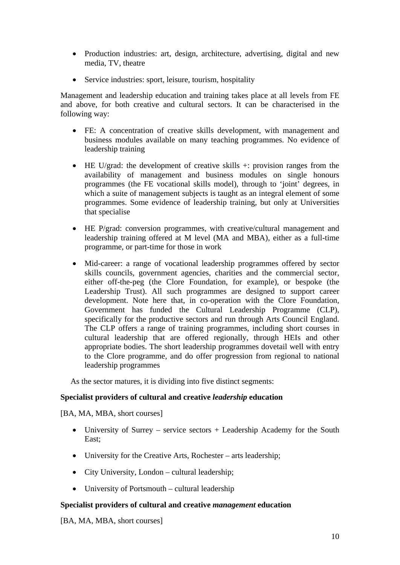- Production industries: art, design, architecture, advertising, digital and new media, TV, theatre
- Service industries: sport, leisure, tourism, hospitality

Management and leadership education and training takes place at all levels from FE and above, for both creative and cultural sectors. It can be characterised in the following way:

- FE: A concentration of creative skills development, with management and business modules available on many teaching programmes. No evidence of leadership training
- HE U/grad: the development of creative skills +: provision ranges from the availability of management and business modules on single honours programmes (the FE vocational skills model), through to 'joint' degrees, in which a suite of management subjects is taught as an integral element of some programmes. Some evidence of leadership training, but only at Universities that specialise
- HE P/grad: conversion programmes, with creative/cultural management and leadership training offered at M level (MA and MBA), either as a full-time programme, or part-time for those in work
- Mid-career: a range of vocational leadership programmes offered by sector skills councils, government agencies, charities and the commercial sector, either off-the-peg (the Clore Foundation, for example), or bespoke (the Leadership Trust). All such programmes are designed to support career development. Note here that, in co-operation with the Clore Foundation, Government has funded the Cultural Leadership Programme (CLP), specifically for the productive sectors and run through Arts Council England. The CLP offers a range of training programmes, including short courses in cultural leadership that are offered regionally, through HEIs and other appropriate bodies. The short leadership programmes dovetail well with entry to the Clore programme, and do offer progression from regional to national leadership programmes

As the sector matures, it is dividing into five distinct segments:

### **Specialist providers of cultural and creative** *leadership* **education**

[BA, MA, MBA, short courses]

- University of Surrey service sectors + Leadership Academy for the South East;
- University for the Creative Arts, Rochester arts leadership;
- City University, London cultural leadership;
- University of Portsmouth cultural leadership

#### **Specialist providers of cultural and creative** *management* **education**

[BA, MA, MBA, short courses]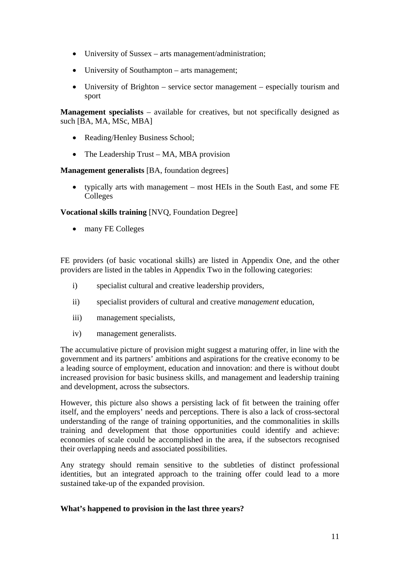- University of Sussex arts management/administration;
- University of Southampton arts management;
- University of Brighton service sector management especially tourism and sport

**Management specialists** – available for creatives, but not specifically designed as such [BA, MA, MSc, MBA]

- Reading/Henley Business School;
- The Leadership Trust MA, MBA provision

#### **Management generalists** [BA, foundation degrees]

• typically arts with management – most HEIs in the South East, and some FE Colleges

### **Vocational skills training** [NVQ, Foundation Degree]

• many FE Colleges

FE providers (of basic vocational skills) are listed in Appendix One, and the other providers are listed in the tables in Appendix Two in the following categories:

- i) specialist cultural and creative leadership providers,
- ii) specialist providers of cultural and creative *management* education,
- iii) management specialists,
- iv) management generalists.

The accumulative picture of provision might suggest a maturing offer, in line with the government and its partners' ambitions and aspirations for the creative economy to be a leading source of employment, education and innovation: and there is without doubt increased provision for basic business skills, and management and leadership training and development, across the subsectors.

However, this picture also shows a persisting lack of fit between the training offer itself, and the employers' needs and perceptions. There is also a lack of cross-sectoral understanding of the range of training opportunities, and the commonalities in skills training and development that those opportunities could identify and achieve: economies of scale could be accomplished in the area, if the subsectors recognised their overlapping needs and associated possibilities.

Any strategy should remain sensitive to the subtleties of distinct professional identities, but an integrated approach to the training offer could lead to a more sustained take-up of the expanded provision.

### **What's happened to provision in the last three years?**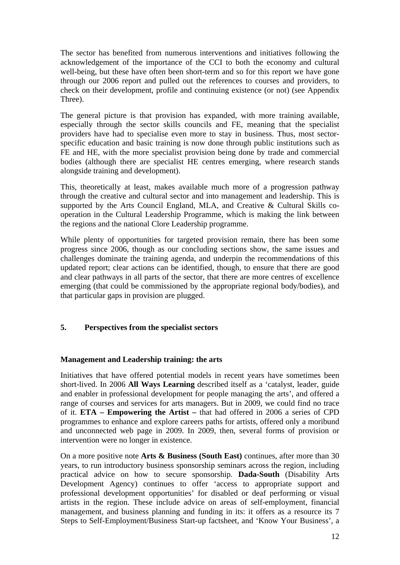The sector has benefited from numerous interventions and initiatives following the acknowledgement of the importance of the CCI to both the economy and cultural well-being, but these have often been short-term and so for this report we have gone through our 2006 report and pulled out the references to courses and providers, to check on their development, profile and continuing existence (or not) (see Appendix Three).

The general picture is that provision has expanded, with more training available, especially through the sector skills councils and FE, meaning that the specialist providers have had to specialise even more to stay in business. Thus, most sectorspecific education and basic training is now done through public institutions such as FE and HE, with the more specialist provision being done by trade and commercial bodies (although there are specialist HE centres emerging, where research stands alongside training and development).

This, theoretically at least, makes available much more of a progression pathway through the creative and cultural sector and into management and leadership. This is supported by the Arts Council England, MLA, and Creative & Cultural Skills cooperation in the Cultural Leadership Programme, which is making the link between the regions and the national Clore Leadership programme.

While plenty of opportunities for targeted provision remain, there has been some progress since 2006, though as our concluding sections show, the same issues and challenges dominate the training agenda, and underpin the recommendations of this updated report; clear actions can be identified, though, to ensure that there are good and clear pathways in all parts of the sector, that there are more centres of excellence emerging (that could be commissioned by the appropriate regional body/bodies), and that particular gaps in provision are plugged.

### **5. Perspectives from the specialist sectors**

#### **Management and Leadership training: the arts**

Initiatives that have offered potential models in recent years have sometimes been short-lived. In 2006 **All Ways Learning** described itself as a 'catalyst, leader, guide and enabler in professional development for people managing the arts', and offered a range of courses and services for arts managers. But in 2009, we could find no trace of it. **ETA – Empowering the Artist –** that had offered in 2006 a series of CPD programmes to enhance and explore careers paths for artists, offered only a moribund and unconnected web page in 2009. In 2009, then, several forms of provision or intervention were no longer in existence.

On a more positive note **Arts & Business (South East)** continues, after more than 30 years, to run introductory business sponsorship seminars across the region, including practical advice on how to secure sponsorship. **Dada-South** (Disability Arts Development Agency) continues to offer 'access to appropriate support and professional development opportunities' for disabled or deaf performing or visual artists in the region. These include advice on areas of self-employment, financial management, and business planning and funding in its: it offers as a resource its 7 Steps to Self-Employment/Business Start-up factsheet, and 'Know Your Business', a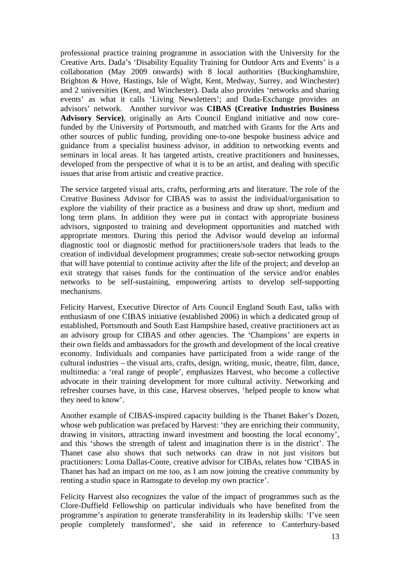professional practice training programme in association with the University for the Creative Arts. Dada's 'Disability Equality Training for Outdoor Arts and Events' is a collaboration (May 2009 onwards) with 8 local authorities (Buckinghamshire, Brighton & Hove, Hastings, Isle of Wight, Kent, Medway, Surrey, and Winchester) and 2 universities (Kent, and Winchester). Dada also provides 'networks and sharing events' as what it calls 'Living Newsletters'; and Dada-Exchange provides an advisors' network. Another survivor was **CIBAS (Creative Industries Business Advisory Service)**, originally an Arts Council England initiative and now corefunded by the University of Portsmouth, and matched with Grants for the Arts and other sources of public funding, providing one-to-one bespoke business advice and guidance from a specialist business advisor, in addition to networking events and seminars in local areas. It has targeted artists, creative practitioners and businesses, developed from the perspective of what it is to be an artist, and dealing with specific issues that arise from artistic and creative practice.

The service targeted visual arts, crafts, performing arts and literature. The role of the Creative Business Advisor for CIBAS was to assist the individual/organisation to explore the viability of their practice as a business and draw up short, medium and long term plans. In addition they were put in contact with appropriate business advisors, signposted to training and development opportunities and matched with appropriate mentors. During this period the Advisor would develop an informal diagnostic tool or diagnostic method for practitioners/sole traders that leads to the creation of individual development programmes; create sub-sector networking groups that will have potential to continue activity after the life of the project; and develop an exit strategy that raises funds for the continuation of the service and/or enables networks to be self-sustaining, empowering artists to develop self-supporting mechanisms.

Felicity Harvest, Executive Director of Arts Council England South East, talks with enthusiasm of one CIBAS initiative (established 2006) in which a dedicated group of established, Portsmouth and South East Hampshire based, creative practitioners act as an advisory group for CIBAS and other agencies. The 'Champions' are experts in their own fields and ambassadors for the growth and development of the local creative economy. Individuals and companies have participated from a wide range of the cultural industries – the visual arts, crafts, design, writing, music, theatre, film, dance, multimedia: a 'real range of people', emphasizes Harvest, who become a collective advocate in their training development for more cultural activity. Networking and refresher courses have, in this case, Harvest observes, 'helped people to know what they need to know'.

Another example of CIBAS-inspired capacity building is the Thanet Baker's Dozen, whose web publication was prefaced by Harvest: 'they are enriching their community, drawing in visitors, attracting inward investment and boosting the local economy', and this 'shows the strength of talent and imagination there is in the district'. The Thanet case also shows that such networks can draw in not just visitors but practitioners: Lorna Dallas-Conte, creative advisor for CIBAs, relates how 'CIBAS in Thanet has had an impact on me too, as I am now joining the creative community by renting a studio space in Ramsgate to develop my own practice'.

Felicity Harvest also recognizes the value of the impact of programmes such as the Clore-Duffield Fellowship on particular individuals who have benefited from the programme's aspiration to generate transferability in its leadership skills: 'I've seen people completely transformed', she said in reference to Canterbury-based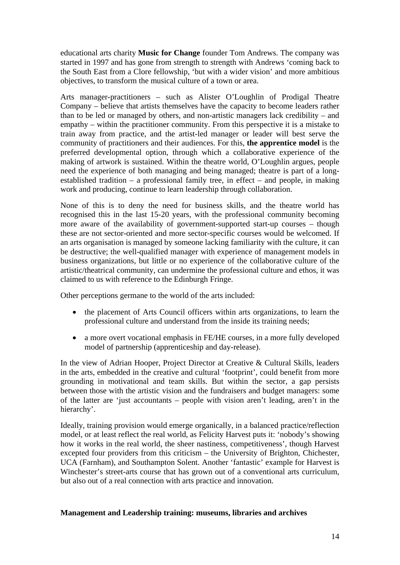educational arts charity **Music for Change** founder Tom Andrews. The company was started in 1997 and has gone from strength to strength with Andrews 'coming back to the South East from a Clore fellowship, 'but with a wider vision' and more ambitious objectives, to transform the musical culture of a town or area.

Arts manager-practitioners – such as Alister O'Loughlin of Prodigal Theatre Company – believe that artists themselves have the capacity to become leaders rather than to be led or managed by others, and non-artistic managers lack credibility – and empathy – within the practitioner community. From this perspective it is a mistake to train away from practice, and the artist-led manager or leader will best serve the community of practitioners and their audiences. For this, **the apprentice model** is the preferred developmental option, through which a collaborative experience of the making of artwork is sustained. Within the theatre world, O'Loughlin argues, people need the experience of both managing and being managed; theatre is part of a longestablished tradition – a professional family tree, in effect – and people, in making work and producing, continue to learn leadership through collaboration.

None of this is to deny the need for business skills, and the theatre world has recognised this in the last 15-20 years, with the professional community becoming more aware of the availability of government-supported start-up courses – though these are not sector-oriented and more sector-specific courses would be welcomed. If an arts organisation is managed by someone lacking familiarity with the culture, it can be destructive; the well-qualified manager with experience of management models in business organizations, but little or no experience of the collaborative culture of the artistic/theatrical community, can undermine the professional culture and ethos, it was claimed to us with reference to the Edinburgh Fringe.

Other perceptions germane to the world of the arts included:

- the placement of Arts Council officers within arts organizations, to learn the professional culture and understand from the inside its training needs;
- a more overt vocational emphasis in FE/HE courses, in a more fully developed model of partnership (apprenticeship and day-release).

In the view of Adrian Hooper, Project Director at Creative & Cultural Skills, leaders in the arts, embedded in the creative and cultural 'footprint', could benefit from more grounding in motivational and team skills. But within the sector, a gap persists between those with the artistic vision and the fundraisers and budget managers: some of the latter are 'just accountants – people with vision aren't leading, aren't in the hierarchy'.

Ideally, training provision would emerge organically, in a balanced practice/reflection model, or at least reflect the real world, as Felicity Harvest puts it: 'nobody's showing how it works in the real world, the sheer nastiness, competitiveness', though Harvest excepted four providers from this criticism – the University of Brighton, Chichester, UCA (Farnham), and Southampton Solent. Another 'fantastic' example for Harvest is Winchester's street-arts course that has grown out of a conventional arts curriculum, but also out of a real connection with arts practice and innovation.

### **Management and Leadership training: museums, libraries and archives**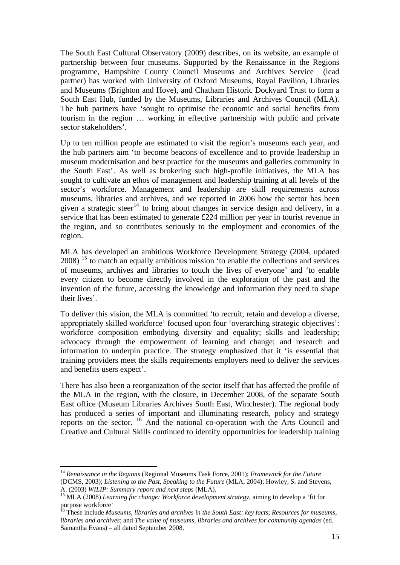The South East Cultural Observatory (2009) describes, on its website, an example of partnership between four museums. Supported by the Renaissance in the Regions programme, Hampshire County Council Museums and Archives Service (lead partner) has worked with University of Oxford Museums, Royal Pavilion, Libraries and Museums (Brighton and Hove), and Chatham Historic Dockyard Trust to form a South East Hub, funded by the Museums, Libraries and Archives Council (MLA). The hub partners have 'sought to optimise the economic and social benefits from tourism in the region … working in effective partnership with public and private sector stakeholders'.

Up to ten million people are estimated to visit the region's museums each year, and the hub partners aim 'to become beacons of excellence and to provide leadership in museum modernisation and best practice for the museums and galleries community in the South East'. As well as brokering such high-profile initiatives, the MLA has sought to cultivate an ethos of management and leadership training at all levels of the sector's workforce. Management and leadership are skill requirements across museums, libraries and archives, and we reported in 2006 how the sector has been given a strategic steer<sup>[14](#page-14-0)</sup> to bring about changes in service design and delivery, in a service that has been estimated to generate £224 million per year in tourist revenue in the region, and so contributes seriously to the employment and economics of the region.

MLA has developed an ambitious Workforce Development Strategy (2004, updated 2008)<sup>[15](#page-14-1)</sup> to match an equally ambitious mission 'to enable the collections and services of museums, archives and libraries to touch the lives of everyone' and 'to enable every citizen to become directly involved in the exploration of the past and the invention of the future, accessing the knowledge and information they need to shape their lives'.

To deliver this vision, the MLA is committed 'to recruit, retain and develop a diverse, appropriately skilled workforce' focused upon four 'overarching strategic objectives': workforce composition embodying diversity and equality; skills and leadership; advocacy through the empowerment of learning and change; and research and information to underpin practice. The strategy emphasized that it 'is essential that training providers meet the skills requirements employers need to deliver the services and benefits users expect'.

There has also been a reorganization of the sector itself that has affected the profile of the MLA in the region, with the closure, in December 2008, of the separate South East office (Museum Libraries Archives South East, Winchester). The regional body has produced a series of important and illuminating research, policy and strategy reports on the sector.  $^{16}$  $^{16}$  $^{16}$  And the national co-operation with the Arts Council and Creative and Cultural Skills continued to identify opportunities for leadership training

<span id="page-14-0"></span><sup>14</sup> *Renaissance in the Regions* (Regional Museums Task Force, 2001); *Framework for the Future* (DCMS, 2003); *Listening to the Past, Speaking to the Future* (MLA, 2004); Howley, S. and Stevens,

<span id="page-14-1"></span>A. (2003) *WILIP: Summary report and next steps* (MLA). 15 MLA (2008) *Learning for change: Workforce development strategy*, aiming to develop a 'fit for purpose workforce'

<span id="page-14-2"></span><sup>16</sup> These include *Museums, libraries and archives in the South East: key facts*; *Resources for museums, libraries and archives*; and *The value of museums, libraries and archives for community agendas* (ed. Samantha Evans) – all dated September 2008.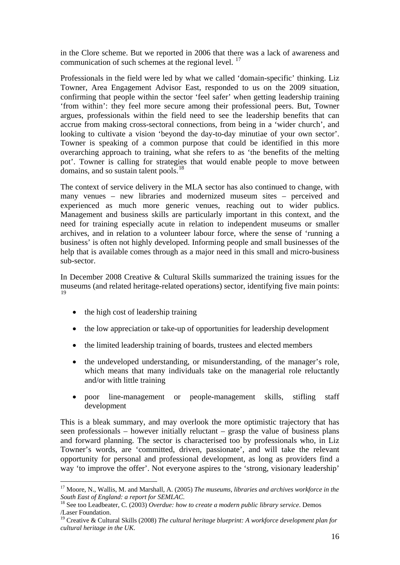in the Clore scheme. But we reported in 2006 that there was a lack of awareness and communication of such schemes at the regional level.  $17$ 

Professionals in the field were led by what we called 'domain-specific' thinking. Liz Towner, Area Engagement Advisor East, responded to us on the 2009 situation, confirming that people within the sector 'feel safer' when getting leadership training 'from within': they feel more secure among their professional peers. But, Towner argues, professionals within the field need to see the leadership benefits that can accrue from making cross-sectoral connections, from being in a 'wider church', and looking to cultivate a vision 'beyond the day-to-day minutiae of your own sector'. Towner is speaking of a common purpose that could be identified in this more overarching approach to training, what she refers to as 'the benefits of the melting pot'. Towner is calling for strategies that would enable people to move between domains, and so sustain talent pools.<sup>[18](#page-15-1)</sup>

The context of service delivery in the MLA sector has also continued to change, with many venues – new libraries and modernized museum sites – perceived and experienced as much more generic venues, reaching out to wider publics. Management and business skills are particularly important in this context, and the need for training especially acute in relation to independent museums or smaller archives, and in relation to a volunteer labour force, where the sense of 'running a business' is often not highly developed. Informing people and small businesses of the help that is available comes through as a major need in this small and micro-business sub-sector.

In December 2008 Creative & Cultural Skills summarized the training issues for the museums (and related heritage-related operations) sector, identifying five main points: [19](#page-15-2)

• the high cost of leadership training

-

- the low appreciation or take-up of opportunities for leadership development
- the limited leadership training of boards, trustees and elected members
- the undeveloped understanding, or misunderstanding, of the manager's role, which means that many individuals take on the managerial role reluctantly and/or with little training
- poor line-management or people-management skills, stifling staff development

This is a bleak summary, and may overlook the more optimistic trajectory that has seen professionals – however initially reluctant – grasp the value of business plans and forward planning. The sector is characterised too by professionals who, in Liz Towner's words, are 'committed, driven, passionate', and will take the relevant opportunity for personal and professional development, as long as providers find a way 'to improve the offer'. Not everyone aspires to the 'strong, visionary leadership'

<span id="page-15-0"></span><sup>17</sup> Moore, N., Wallis, M. and Marshall, A. (2005) *The museums, libraries and archives workforce in the South East of England: a report for SEMLAC*. 18 See too Leadbeater, C. (2003) *Overdue: how to create a modern public library service*. Demos

<span id="page-15-1"></span><sup>/</sup>Laser Foundation.

<span id="page-15-2"></span><sup>19</sup> Creative & Cultural Skills (2008) *The cultural heritage blueprint: A workforce development plan for cultural heritage in the UK*.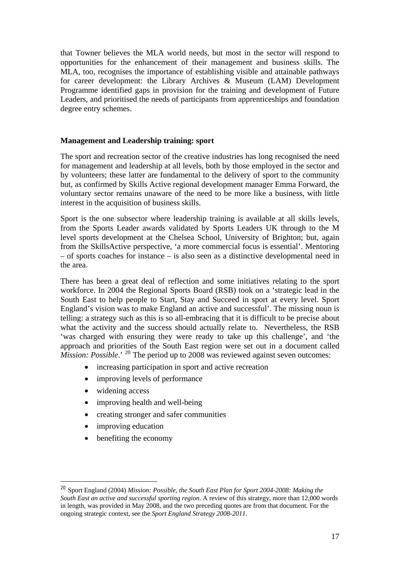that Towner believes the MLA world needs, but most in the sector will respond to opportunities for the enhancement of their management and business skills. The MLA, too, recognises the importance of establishing visible and attainable pathways for career development: the Library Archives & Museum (LAM) Development Programme identified gaps in provision for the training and development of Future Leaders, and prioritised the needs of participants from apprenticeships and foundation degree entry schemes.

#### **Management and Leadership training: sport**

The sport and recreation sector of the creative industries has long recognised the need for management and leadership at all levels, both by those employed in the sector and by volunteers; these latter are fundamental to the delivery of sport to the community but, as confirmed by Skills Active regional development manager Emma Forward, the voluntary sector remains unaware of the need to be more like a business, with little interest in the acquisition of business skills.

Sport is the one subsector where leadership training is available at all skills levels, from the Sports Leader awards validated by Sports Leaders UK through to the M level sports development at the Chelsea School, University of Brighton; but, again from the SkillsActive perspective, 'a more commercial focus is essential'. Mentoring – of sports coaches for instance – is also seen as a distinctive developmental need in the area.

There has been a great deal of reflection and some initiatives relating to the sport workforce. In 2004 the Regional Sports Board (RSB) took on a 'strategic lead in the South East to help people to Start, Stay and Succeed in sport at every level. Sport England's vision was to make England an active and successful'. The missing noun is telling: a strategy such as this is so all-embracing that it is difficult to be precise about what the activity and the success should actually relate to. Nevertheless, the RSB 'was charged with ensuring they were ready to take up this challenge', and 'the approach and priorities of the South East region were set out in a document called *Mission: Possible*.' <sup>[20](#page-16-0)</sup> The period up to 2008 was reviewed against seven outcomes:

- increasing participation in sport and active recreation
- improving levels of performance
- widening access
- improving health and well-being
- creating stronger and safer communities
- improving education

-

benefiting the economy

<span id="page-16-0"></span><sup>20</sup> Sport England (2004) *Mission: Possible, the South East Plan for Sport 2004-2008: Making the South East an active and successful sporting region*. A review of this strategy, more than 12,000 words in length, was provided in May 2008, and the two preceding quotes are from that document. For the ongoing strategic context, see the *Sport England Strategy 2008-2011*.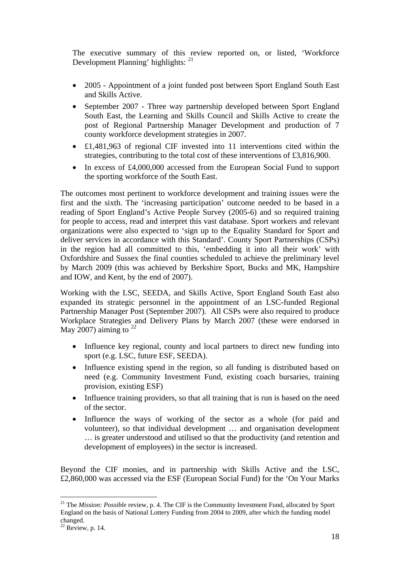The executive summary of this review reported on, or listed, 'Workforce Development Planning' highlights: <sup>[21](#page-17-0)</sup>

- 2005 Appointment of a joint funded post between Sport England South East and Skills Active.
- September 2007 Three way partnership developed between Sport England South East, the Learning and Skills Council and Skills Active to create the post of Regional Partnership Manager Development and production of 7 county workforce development strategies in 2007.
- £1,481,963 of regional CIF invested into 11 interventions cited within the strategies, contributing to the total cost of these interventions of £3,816,900.
- In excess of £4,000,000 accessed from the European Social Fund to support the sporting workforce of the South East.

The outcomes most pertinent to workforce development and training issues were the first and the sixth. The 'increasing participation' outcome needed to be based in a reading of Sport England's Active People Survey (2005-6) and so required training for people to access, read and interpret this vast database. Sport workers and relevant organizations were also expected to 'sign up to the Equality Standard for Sport and deliver services in accordance with this Standard'. County Sport Partnerships (CSPs) in the region had all committed to this, 'embedding it into all their work' with Oxfordshire and Sussex the final counties scheduled to achieve the preliminary level by March 2009 (this was achieved by Berkshire Sport, Bucks and MK, Hampshire and IOW, and Kent, by the end of 2007).

Working with the LSC, SEEDA, and Skills Active, Sport England South East also expanded its strategic personnel in the appointment of an LSC-funded Regional Partnership Manager Post (September 2007). All CSPs were also required to produce Workplace Strategies and Delivery Plans by March 2007 (these were endorsed in May 2007) aiming to  $^{22}$  $^{22}$  $^{22}$ 

- Influence key regional, county and local partners to direct new funding into sport (e.g. LSC, future ESF, SEEDA).
- Influence existing spend in the region, so all funding is distributed based on need (e.g. Community Investment Fund, existing coach bursaries, training provision, existing ESF)
- Influence training providers, so that all training that is run is based on the need of the sector.
- Influence the ways of working of the sector as a whole (for paid and volunteer), so that individual development … and organisation development … is greater understood and utilised so that the productivity (and retention and development of employees) in the sector is increased.

Beyond the CIF monies, and in partnership with Skills Active and the LSC, £2,860,000 was accessed via the ESF (European Social Fund) for the 'On Your Marks

<span id="page-17-0"></span><sup>&</sup>lt;sup>21</sup> The *Mission: Possible* review, p. 4. The CIF is the Community Investment Fund, allocated by Sport England on the basis of National Lottery Funding from 2004 to 2009, after which the funding model changed.

<span id="page-17-1"></span> $22$  Review, p. 14.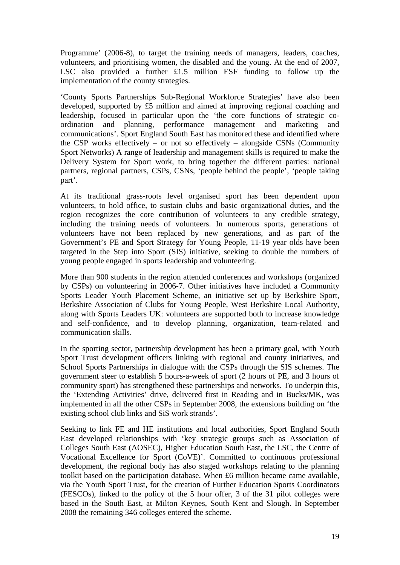Programme' (2006-8), to target the training needs of managers, leaders, coaches, volunteers, and prioritising women, the disabled and the young. At the end of 2007, LSC also provided a further £1.5 million ESF funding to follow up the implementation of the county strategies.

'County Sports Partnerships Sub-Regional Workforce Strategies' have also been developed, supported by £5 million and aimed at improving regional coaching and leadership, focused in particular upon the 'the core functions of strategic coordination and planning, performance management and marketing and communications'. Sport England South East has monitored these and identified where the CSP works effectively – or not so effectively – alongside CSNs (Community Sport Networks) A range of leadership and management skills is required to make the Delivery System for Sport work, to bring together the different parties: national partners, regional partners, CSPs, CSNs, 'people behind the people', 'people taking part'.

At its traditional grass-roots level organised sport has been dependent upon volunteers, to hold office, to sustain clubs and basic organizational duties, and the region recognizes the core contribution of volunteers to any credible strategy, including the training needs of volunteers. In numerous sports, generations of volunteers have not been replaced by new generations, and as part of the Government's PE and Sport Strategy for Young People, 11-19 year olds have been targeted in the Step into Sport (SIS) initiative, seeking to double the numbers of young people engaged in sports leadership and volunteering.

More than 900 students in the region attended conferences and workshops (organized by CSPs) on volunteering in 2006-7. Other initiatives have included a Community Sports Leader Youth Placement Scheme, an initiative set up by Berkshire Sport, Berkshire Association of Clubs for Young People, West Berkshire Local Authority, along with Sports Leaders UK: volunteers are supported both to increase knowledge and self-confidence, and to develop planning, organization, team-related and communication skills.

In the sporting sector, partnership development has been a primary goal, with Youth Sport Trust development officers linking with regional and county initiatives, and School Sports Partnerships in dialogue with the CSPs through the SIS schemes. The government steer to establish 5 hours-a-week of sport (2 hours of PE, and 3 hours of community sport) has strengthened these partnerships and networks. To underpin this, the 'Extending Activities' drive, delivered first in Reading and in Bucks/MK, was implemented in all the other CSPs in September 2008, the extensions building on 'the existing school club links and SiS work strands'.

Seeking to link FE and HE institutions and local authorities, Sport England South East developed relationships with 'key strategic groups such as Association of Colleges South East (AOSEC), Higher Education South East, the LSC, the Centre of Vocational Excellence for Sport (CoVE)'. Committed to continuous professional development, the regional body has also staged workshops relating to the planning toolkit based on the participation database. When £6 million became came available, via the Youth Sport Trust, for the creation of Further Education Sports Coordinators (FESCOs), linked to the policy of the 5 hour offer, 3 of the 31 pilot colleges were based in the South East, at Milton Keynes, South Kent and Slough. In September 2008 the remaining 346 colleges entered the scheme.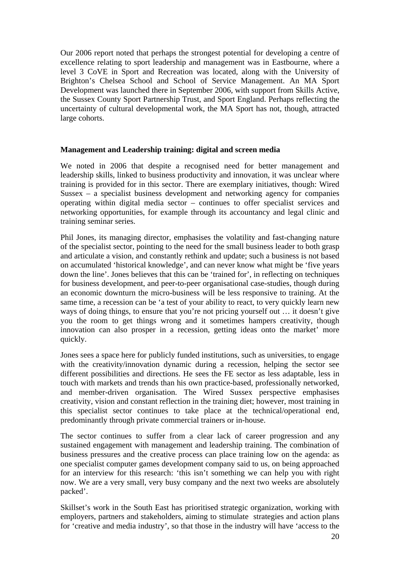Our 2006 report noted that perhaps the strongest potential for developing a centre of excellence relating to sport leadership and management was in Eastbourne, where a level 3 CoVE in Sport and Recreation was located, along with the University of Brighton's Chelsea School and School of Service Management. An MA Sport Development was launched there in September 2006, with support from Skills Active, the Sussex County Sport Partnership Trust, and Sport England. Perhaps reflecting the uncertainty of cultural developmental work, the MA Sport has not, though, attracted large cohorts.

#### **Management and Leadership training: digital and screen media**

We noted in 2006 that despite a recognised need for better management and leadership skills, linked to business productivity and innovation, it was unclear where training is provided for in this sector. There are exemplary initiatives, though: Wired Sussex – a specialist business development and networking agency for companies operating within digital media sector – continues to offer specialist services and networking opportunities, for example through its accountancy and legal clinic and training seminar series.

Phil Jones, its managing director, emphasises the volatility and fast-changing nature of the specialist sector, pointing to the need for the small business leader to both grasp and articulate a vision, and constantly rethink and update; such a business is not based on accumulated 'historical knowledge', and can never know what might be 'five years down the line'. Jones believes that this can be 'trained for', in reflecting on techniques for business development, and peer-to-peer organisational case-studies, though during an economic downturn the micro-business will be less responsive to training. At the same time, a recession can be 'a test of your ability to react, to very quickly learn new ways of doing things, to ensure that you're not pricing yourself out … it doesn't give you the room to get things wrong and it sometimes hampers creativity, though innovation can also prosper in a recession, getting ideas onto the market' more quickly.

Jones sees a space here for publicly funded institutions, such as universities, to engage with the creativity/innovation dynamic during a recession, helping the sector see different possibilities and directions. He sees the FE sector as less adaptable, less in touch with markets and trends than his own practice-based, professionally networked, and member-driven organisation. The Wired Sussex perspective emphasises creativity, vision and constant reflection in the training diet; however, most training in this specialist sector continues to take place at the technical/operational end, predominantly through private commercial trainers or in-house.

The sector continues to suffer from a clear lack of career progression and any sustained engagement with management and leadership training. The combination of business pressures and the creative process can place training low on the agenda: as one specialist computer games development company said to us, on being approached for an interview for this research: 'this isn't something we can help you with right now. We are a very small, very busy company and the next two weeks are absolutely packed'.

Skillset's work in the South East has prioritised strategic organization, working with employers, partners and stakeholders, aiming to stimulate strategies and action plans for 'creative and media industry', so that those in the industry will have 'access to the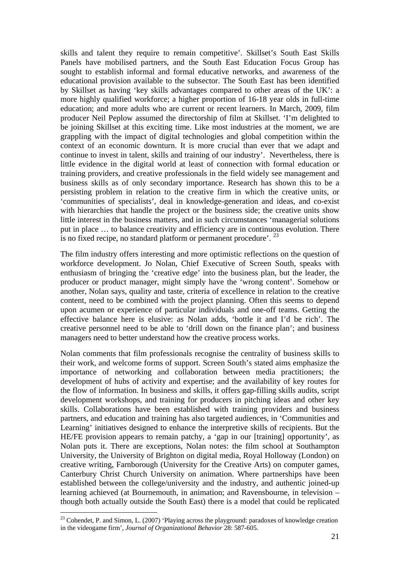skills and talent they require to remain competitive'. Skillset's South East Skills Panels have mobilised partners, and the South East Education Focus Group has sought to establish informal and formal educative networks, and awareness of the educational provision available to the subsector. The South East has been identified by Skillset as having 'key skills advantages compared to other areas of the UK': a more highly qualified workforce; a higher proportion of 16-18 year olds in full-time education; and more adults who are current or recent learners. In March, 2009, film producer Neil Peplow assumed the directorship of film at Skillset. 'I'm delighted to be joining Skillset at this exciting time. Like most industries at the moment, we are grappling with the impact of digital technologies and global competition within the context of an economic downturn. It is more crucial than ever that we adapt and continue to invest in talent, skills and training of our industry'. Nevertheless, there is little evidence in the digital world at least of connection with formal education or training providers, and creative professionals in the field widely see management and business skills as of only secondary importance. Research has shown this to be a persisting problem in relation to the creative firm in which the creative units, or 'communities of specialists', deal in knowledge-generation and ideas, and co-exist with hierarchies that handle the project or the business side; the creative units show little interest in the business matters, and in such circumstances 'managerial solutions put in place … to balance creativity and efficiency are in continuous evolution. There is no fixed recipe, no standard platform or permanent procedure'. [23](#page-20-0)

The film industry offers interesting and more optimistic reflections on the question of workforce development. Jo Nolan, Chief Executive of Screen South, speaks with enthusiasm of bringing the 'creative edge' into the business plan, but the leader, the producer or product manager, might simply have the 'wrong content'. Somehow or another, Nolan says, quality and taste, criteria of excellence in relation to the creative content, need to be combined with the project planning. Often this seems to depend upon acumen or experience of particular individuals and one-off teams. Getting the effective balance here is elusive: as Nolan adds, 'bottle it and I'd be rich'. The creative personnel need to be able to 'drill down on the finance plan'; and business managers need to better understand how the creative process works.

Nolan comments that film professionals recognise the centrality of business skills to their work, and welcome forms of support. Screen South's stated aims emphasize the importance of networking and collaboration between media practitioners; the development of hubs of activity and expertise; and the availability of key routes for the flow of information. In business and skills, it offers gap-filling skills audits, script development workshops, and training for producers in pitching ideas and other key skills. Collaborations have been established with training providers and business partners, and education and training has also targeted audiences, in 'Communities and Learning' initiatives designed to enhance the interpretive skills of recipients. But the HE/FE provision appears to remain patchy, a 'gap in our [training] opportunity', as Nolan puts it. There are exceptions, Nolan notes: the film school at Southampton University, the University of Brighton on digital media, Royal Holloway (London) on creative writing, Farnborough (University for the Creative Arts) on computer games, Canterbury Christ Church University on animation. Where partnerships have been established between the college/university and the industry, and authentic joined-up learning achieved (at Bournemouth, in animation; and Ravensbourne, in television – though both actually outside the South East) there is a model that could be replicated

<span id="page-20-0"></span><sup>&</sup>lt;sup>23</sup> Cohendet, P. and Simon, L. (2007) 'Playing across the playground: paradoxes of knowledge creation in the videogame firm', *Journal of Organizational Behavior* 28: 587-605.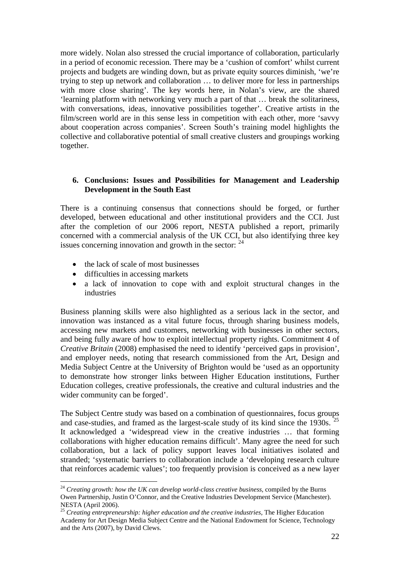more widely. Nolan also stressed the crucial importance of collaboration, particularly in a period of economic recession. There may be a 'cushion of comfort' whilst current projects and budgets are winding down, but as private equity sources diminish, 'we're trying to step up network and collaboration … to deliver more for less in partnerships with more close sharing'. The key words here, in Nolan's view, are the shared 'learning platform with networking very much a part of that … break the solitariness, with conversations, ideas, innovative possibilities together'. Creative artists in the film/screen world are in this sense less in competition with each other, more 'savvy about cooperation across companies'. Screen South's training model highlights the collective and collaborative potential of small creative clusters and groupings working together.

#### **6. Conclusions: Issues and Possibilities for Management and Leadership Development in the South East**

There is a continuing consensus that connections should be forged, or further developed, between educational and other institutional providers and the CCI. Just after the completion of our 2006 report, NESTA published a report, primarily concerned with a commercial analysis of the UK CCI, but also identifying three key issues concerning innovation and growth in the sector:  $24$ 

- the lack of scale of most businesses
- difficulties in accessing markets

-

• a lack of innovation to cope with and exploit structural changes in the industries

Business planning skills were also highlighted as a serious lack in the sector, and innovation was instanced as a vital future focus, through sharing business models, accessing new markets and customers, networking with businesses in other sectors, and being fully aware of how to exploit intellectual property rights. Commitment 4 of *Creative Britain* (2008) emphasised the need to identify 'perceived gaps in provision', and employer needs, noting that research commissioned from the Art, Design and Media Subject Centre at the University of Brighton would be 'used as an opportunity to demonstrate how stronger links between Higher Education institutions, Further Education colleges, creative professionals, the creative and cultural industries and the wider community can be forged'.

The Subject Centre study was based on a combination of questionnaires, focus groups and case-studies, and framed as the largest-scale study of its kind since the  $1930s$ . <sup>[25](#page-21-1)</sup> It acknowledged a 'widespread view in the creative industries … that forming collaborations with higher education remains difficult'. Many agree the need for such collaboration, but a lack of policy support leaves local initiatives isolated and stranded; 'systematic barriers to collaboration include a 'developing research culture that reinforces academic values'; too frequently provision is conceived as a new layer

<span id="page-21-0"></span><sup>&</sup>lt;sup>24</sup> Creating growth: how the UK can develop world-class creative business, compiled by the Burns Owen Partnership, Justin O'Connor, and the Creative Industries Development Service (Manchester). NESTA (April 2006).

<span id="page-21-1"></span><sup>25</sup> *Creating entrepreneurship: higher education and the creative industries*, The Higher Education Academy for Art Design Media Subject Centre and the National Endowment for Science, Technology and the Arts (2007), by David Clews.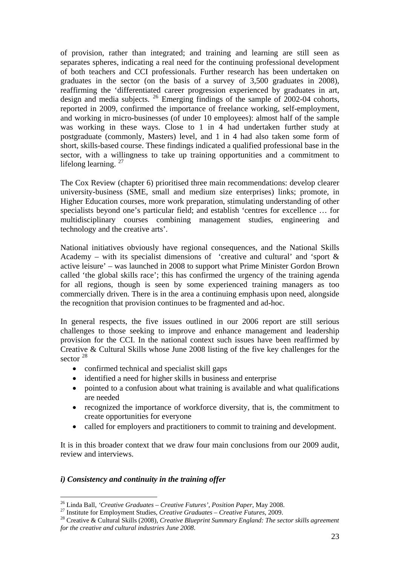of provision, rather than integrated; and training and learning are still seen as separates spheres, indicating a real need for the continuing professional development of both teachers and CCI professionals. Further research has been undertaken on graduates in the sector (on the basis of a survey of 3,500 graduates in 2008), reaffirming the 'differentiated career progression experienced by graduates in art, design and media subjects. <sup>[26](#page-22-0)</sup> Emerging findings of the sample of 2002-04 cohorts, reported in 2009, confirmed the importance of freelance working, self-employment, and working in micro-businesses (of under 10 employees): almost half of the sample was working in these ways. Close to 1 in 4 had undertaken further study at postgraduate (commonly, Masters) level, and 1 in 4 had also taken some form of short, skills-based course. These findings indicated a qualified professional base in the sector, with a willingness to take up training opportunities and a commitment to lifelong learning.<sup>[27](#page-22-1)</sup>

The Cox Review (chapter 6) prioritised three main recommendations: develop clearer university-business (SME, small and medium size enterprises) links; promote, in Higher Education courses, more work preparation, stimulating understanding of other specialists beyond one's particular field; and establish 'centres for excellence … for multidisciplinary courses combining management studies, engineering and technology and the creative arts'.

National initiatives obviously have regional consequences, and the National Skills Academy – with its specialist dimensions of 'creative and cultural' and 'sport  $\&$ active leisure' – was launched in 2008 to support what Prime Minister Gordon Brown called 'the global skills race'; this has confirmed the urgency of the training agenda for all regions, though is seen by some experienced training managers as too commercially driven. There is in the area a continuing emphasis upon need, alongside the recognition that provision continues to be fragmented and ad-hoc.

In general respects, the five issues outlined in our 2006 report are still serious challenges to those seeking to improve and enhance management and leadership provision for the CCI. In the national context such issues have been reaffirmed by Creative & Cultural Skills whose June 2008 listing of the five key challenges for the sector  $^{28}$  $^{28}$  $^{28}$ 

- confirmed technical and specialist skill gaps
- identified a need for higher skills in business and enterprise
- pointed to a confusion about what training is available and what qualifications are needed
- recognized the importance of workforce diversity, that is, the commitment to create opportunities for everyone
- called for employers and practitioners to commit to training and development.

It is in this broader context that we draw four main conclusions from our 2009 audit, review and interviews.

#### *i) Consistency and continuity in the training offer*

<span id="page-22-2"></span>

<span id="page-22-1"></span><span id="page-22-0"></span><sup>&</sup>lt;sup>26</sup> Linda Ball, *'Creative Graduates – Creative Futures'*, *Position Paper*, May 2008.<br><sup>27</sup> Institute for Employment Studies, *Creative Graduates – Creative Futures*, 2009.<br><sup>28</sup> Creative & Cultural Skills (2008), *Creati for the creative and cultural industries June 2008*.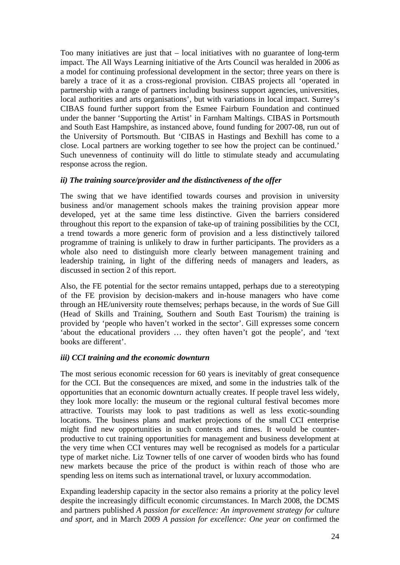Too many initiatives are just that – local initiatives with no guarantee of long-term impact. The All Ways Learning initiative of the Arts Council was heralded in 2006 as a model for continuing professional development in the sector; three years on there is barely a trace of it as a cross-regional provision. CIBAS projects all 'operated in partnership with a range of partners including business support agencies, universities, local authorities and arts organisations', but with variations in local impact. Surrey's CIBAS found further support from the Esmee Fairburn Foundation and continued under the banner 'Supporting the Artist' in Farnham Maltings. CIBAS in Portsmouth and South East Hampshire, as instanced above, found funding for 2007-08, run out of the University of Portsmouth. But 'CIBAS in Hastings and Bexhill has come to a close. Local partners are working together to see how the project can be continued.' Such unevenness of continuity will do little to stimulate steady and accumulating response across the region.

#### *ii) The training source/provider and the distinctiveness of the offer*

The swing that we have identified towards courses and provision in university business and/or management schools makes the training provision appear more developed, yet at the same time less distinctive. Given the barriers considered throughout this report to the expansion of take-up of training possibilities by the CCI, a trend towards a more generic form of provision and a less distinctively tailored programme of training is unlikely to draw in further participants. The providers as a whole also need to distinguish more clearly between management training and leadership training, in light of the differing needs of managers and leaders, as discussed in section 2 of this report.

Also, the FE potential for the sector remains untapped, perhaps due to a stereotyping of the FE provision by decision-makers and in-house managers who have come through an HE/university route themselves; perhaps because, in the words of Sue Gill (Head of Skills and Training, Southern and South East Tourism) the training is provided by 'people who haven't worked in the sector'. Gill expresses some concern 'about the educational providers … they often haven't got the people', and 'text books are different'.

#### *iii) CCI training and the economic downturn*

The most serious economic recession for 60 years is inevitably of great consequence for the CCI. But the consequences are mixed, and some in the industries talk of the opportunities that an economic downturn actually creates. If people travel less widely, they look more locally: the museum or the regional cultural festival becomes more attractive. Tourists may look to past traditions as well as less exotic-sounding locations. The business plans and market projections of the small CCI enterprise might find new opportunities in such contexts and times. It would be counterproductive to cut training opportunities for management and business development at the very time when CCI ventures may well be recognised as models for a particular type of market niche. Liz Towner tells of one carver of wooden birds who has found new markets because the price of the product is within reach of those who are spending less on items such as international travel, or luxury accommodation.

Expanding leadership capacity in the sector also remains a priority at the policy level despite the increasingly difficult economic circumstances. In March 2008, the DCMS and partners published *A passion for excellence: An improvement strategy for culture and sport*, and in March 2009 *A passion for excellence: One year on* confirmed the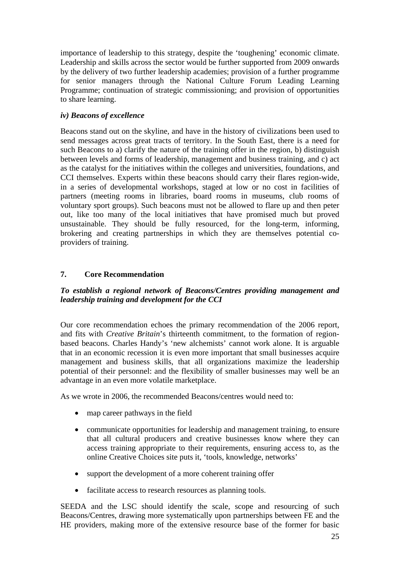importance of leadership to this strategy, despite the 'toughening' economic climate. Leadership and skills across the sector would be further supported from 2009 onwards by the delivery of two further leadership academies; provision of a further programme for senior managers through the National Culture Forum Leading Learning Programme; continuation of strategic commissioning; and provision of opportunities to share learning.

### *iv) Beacons of excellence*

Beacons stand out on the skyline, and have in the history of civilizations been used to send messages across great tracts of territory. In the South East, there is a need for such Beacons to a) clarify the nature of the training offer in the region, b) distinguish between levels and forms of leadership, management and business training, and c) act as the catalyst for the initiatives within the colleges and universities, foundations, and CCI themselves. Experts within these beacons should carry their flares region-wide, in a series of developmental workshops, staged at low or no cost in facilities of partners (meeting rooms in libraries, board rooms in museums, club rooms of voluntary sport groups). Such beacons must not be allowed to flare up and then peter out, like too many of the local initiatives that have promised much but proved unsustainable. They should be fully resourced, for the long-term, informing, brokering and creating partnerships in which they are themselves potential coproviders of training.

## **7. Core Recommendation**

### *To establish a regional network of Beacons/Centres providing management and leadership training and development for the CCI*

Our core recommendation echoes the primary recommendation of the 2006 report, and fits with *Creative Britain*'s thirteenth commitment, to the formation of regionbased beacons. Charles Handy's 'new alchemists' cannot work alone. It is arguable that in an economic recession it is even more important that small businesses acquire management and business skills, that all organizations maximize the leadership potential of their personnel: and the flexibility of smaller businesses may well be an advantage in an even more volatile marketplace.

As we wrote in 2006, the recommended Beacons/centres would need to:

- map career pathways in the field
- communicate opportunities for leadership and management training, to ensure that all cultural producers and creative businesses know where they can access training appropriate to their requirements, ensuring access to, as the online Creative Choices site puts it, 'tools, knowledge, networks'
- support the development of a more coherent training offer
- facilitate access to research resources as planning tools.

SEEDA and the LSC should identify the scale, scope and resourcing of such Beacons/Centres, drawing more systematically upon partnerships between FE and the HE providers, making more of the extensive resource base of the former for basic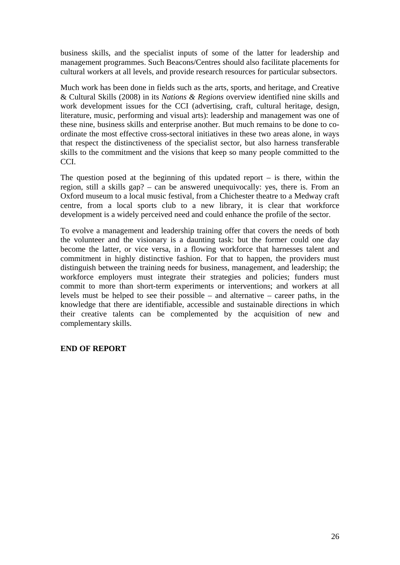business skills, and the specialist inputs of some of the latter for leadership and management programmes. Such Beacons/Centres should also facilitate placements for cultural workers at all levels, and provide research resources for particular subsectors.

Much work has been done in fields such as the arts, sports, and heritage, and Creative & Cultural Skills (2008) in its *Nations & Regions* overview identified nine skills and work development issues for the CCI (advertising, craft, cultural heritage, design, literature, music, performing and visual arts): leadership and management was one of these nine, business skills and enterprise another. But much remains to be done to coordinate the most effective cross-sectoral initiatives in these two areas alone, in ways that respect the distinctiveness of the specialist sector, but also harness transferable skills to the commitment and the visions that keep so many people committed to the CCI.

The question posed at the beginning of this updated report  $-$  is there, within the region, still a skills gap? – can be answered unequivocally: yes, there is. From an Oxford museum to a local music festival, from a Chichester theatre to a Medway craft centre, from a local sports club to a new library, it is clear that workforce development is a widely perceived need and could enhance the profile of the sector.

To evolve a management and leadership training offer that covers the needs of both the volunteer and the visionary is a daunting task: but the former could one day become the latter, or vice versa, in a flowing workforce that harnesses talent and commitment in highly distinctive fashion. For that to happen, the providers must distinguish between the training needs for business, management, and leadership; the workforce employers must integrate their strategies and policies; funders must commit to more than short-term experiments or interventions; and workers at all levels must be helped to see their possible – and alternative – career paths, in the knowledge that there are identifiable, accessible and sustainable directions in which their creative talents can be complemented by the acquisition of new and complementary skills.

#### **END OF REPORT**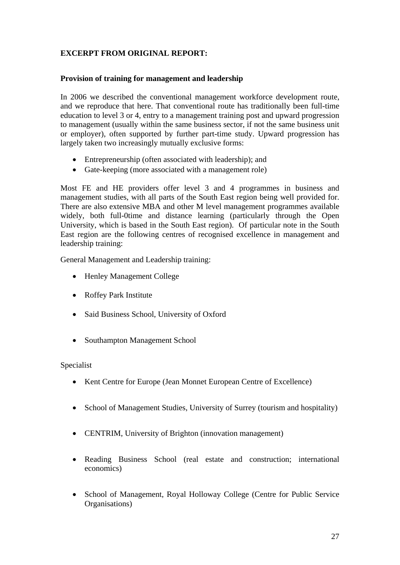## **EXCERPT FROM ORIGINAL REPORT:**

#### **Provision of training for management and leadership**

In 2006 we described the conventional management workforce development route, and we reproduce that here. That conventional route has traditionally been full-time education to level 3 or 4, entry to a management training post and upward progression to management (usually within the same business sector, if not the same business unit or employer), often supported by further part-time study. Upward progression has largely taken two increasingly mutually exclusive forms:

- Entrepreneurship (often associated with leadership); and
- Gate-keeping (more associated with a management role)

Most FE and HE providers offer level 3 and 4 programmes in business and management studies, with all parts of the South East region being well provided for. There are also extensive MBA and other M level management programmes available widely, both full-0time and distance learning (particularly through the Open University, which is based in the South East region). Of particular note in the South East region are the following centres of recognised excellence in management and leadership training:

General Management and Leadership training:

- Henley Management College
- Roffey Park Institute
- Said Business School, University of Oxford
- Southampton Management School

#### Specialist

- Kent Centre for Europe (Jean Monnet European Centre of Excellence)
- School of Management Studies, University of Surrey (tourism and hospitality)
- CENTRIM, University of Brighton (innovation management)
- Reading Business School (real estate and construction; international economics)
- School of Management, Royal Holloway College (Centre for Public Service Organisations)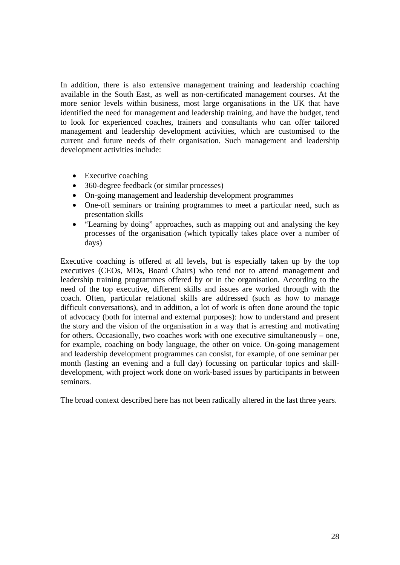In addition, there is also extensive management training and leadership coaching available in the South East, as well as non-certificated management courses. At the more senior levels within business, most large organisations in the UK that have identified the need for management and leadership training, and have the budget, tend to look for experienced coaches, trainers and consultants who can offer tailored management and leadership development activities, which are customised to the current and future needs of their organisation. Such management and leadership development activities include:

- Executive coaching
- 360-degree feedback (or similar processes)
- On-going management and leadership development programmes
- One-off seminars or training programmes to meet a particular need, such as presentation skills
- "Learning by doing" approaches, such as mapping out and analysing the key processes of the organisation (which typically takes place over a number of days)

Executive coaching is offered at all levels, but is especially taken up by the top executives (CEOs, MDs, Board Chairs) who tend not to attend management and leadership training programmes offered by or in the organisation. According to the need of the top executive, different skills and issues are worked through with the coach. Often, particular relational skills are addressed (such as how to manage difficult conversations), and in addition, a lot of work is often done around the topic of advocacy (both for internal and external purposes): how to understand and present the story and the vision of the organisation in a way that is arresting and motivating for others. Occasionally, two coaches work with one executive simultaneously – one, for example, coaching on body language, the other on voice. On-going management and leadership development programmes can consist, for example, of one seminar per month (lasting an evening and a full day) focussing on particular topics and skilldevelopment, with project work done on work-based issues by participants in between seminars.

The broad context described here has not been radically altered in the last three years.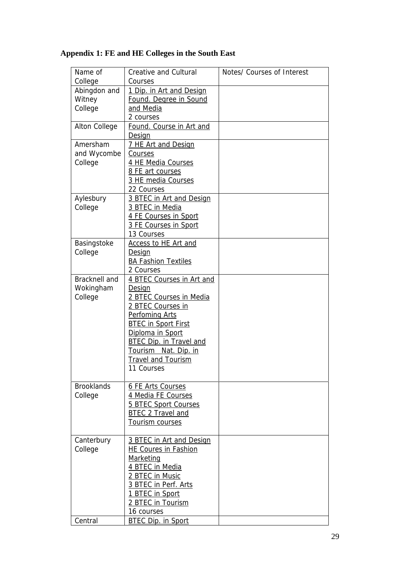| Name of           | <b>Creative and Cultural</b>                       | Notes/ Courses of Interest |
|-------------------|----------------------------------------------------|----------------------------|
| College           | Courses                                            |                            |
| Abingdon and      | 1 Dip. in Art and Design                           |                            |
| Witney            | Found. Degree in Sound                             |                            |
| College           | and Media                                          |                            |
|                   | 2 courses                                          |                            |
| Alton College     | Found. Course in Art and                           |                            |
|                   | <b>Design</b>                                      |                            |
| Amersham          | 7 HE Art and Design                                |                            |
| and Wycombe       | <b>Courses</b>                                     |                            |
| College           | 4 HE Media Courses                                 |                            |
|                   | 8 FE art courses                                   |                            |
|                   | 3 HE media Courses                                 |                            |
|                   | 22 Courses                                         |                            |
| Aylesbury         | 3 BTEC in Art and Design                           |                            |
| College           | 3 BTEC in Media                                    |                            |
|                   | 4 FE Courses in Sport                              |                            |
|                   | 3 FE Courses in Sport                              |                            |
|                   | 13 Courses                                         |                            |
| Basingstoke       | <b>Access to HE Art and</b>                        |                            |
| College           | <b>Design</b>                                      |                            |
|                   | <b>BA Fashion Textiles</b>                         |                            |
|                   | 2 Courses                                          |                            |
| Bracknell and     | 4 BTEC Courses in Art and                          |                            |
| Wokingham         | <b>Design</b>                                      |                            |
| College           | 2 BTEC Courses in Media                            |                            |
|                   | 2 BTEC Courses in                                  |                            |
|                   | <b>Perfoming Arts</b>                              |                            |
|                   | <b>BTEC in Sport First</b>                         |                            |
|                   | Diploma in Sport<br><b>BTEC Dip. in Travel and</b> |                            |
|                   | Tourism Nat. Dip. in                               |                            |
|                   | <b>Travel and Tourism</b>                          |                            |
|                   | 11 Courses                                         |                            |
|                   |                                                    |                            |
| <b>Brooklands</b> | 6 FE Arts Courses                                  |                            |
| College           | 4 Media FE Courses                                 |                            |
|                   | <b>5 BTEC Sport Courses</b>                        |                            |
|                   | <b>BTEC 2 Travel and</b>                           |                            |
|                   | Tourism courses                                    |                            |
|                   |                                                    |                            |
| Canterbury        | 3 BTEC in Art and Design                           |                            |
| College           | <b>HE Coures in Fashion</b>                        |                            |
|                   | Marketing                                          |                            |
|                   | 4 BTEC in Media                                    |                            |
|                   | 2 BTEC in Music                                    |                            |
|                   | 3 BTEC in Perf. Arts                               |                            |
|                   | 1 BTEC in Sport                                    |                            |
|                   | 2 BTEC in Tourism                                  |                            |
|                   | 16 courses                                         |                            |
| Central           | <b>BTEC Dip. in Sport</b>                          |                            |

## **Appendix 1: FE and HE Colleges in the South East**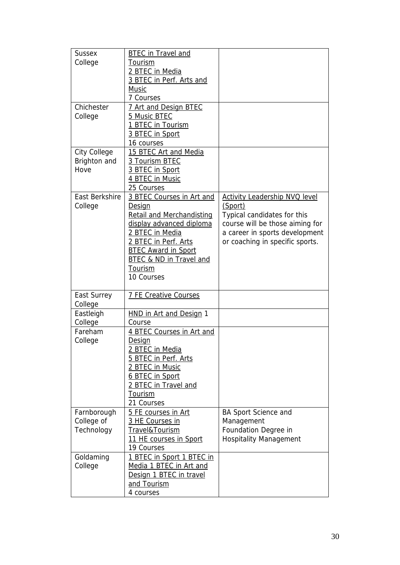| <b>Sussex</b>         | <b>BTEC</b> in Travel and          |                                      |
|-----------------------|------------------------------------|--------------------------------------|
| College               | Tourism                            |                                      |
|                       | 2 BTEC in Media                    |                                      |
|                       | 3 BTEC in Perf. Arts and           |                                      |
|                       | Music                              |                                      |
|                       | 7 Courses                          |                                      |
| Chichester            | 7 Art and Design BTEC              |                                      |
| College               | 5 Music BTEC                       |                                      |
|                       | 1 BTEC in Tourism                  |                                      |
|                       | 3 BTEC in Sport                    |                                      |
|                       | 16 courses                         |                                      |
| City College          | 15 BTEC Art and Media              |                                      |
| Brighton and          | 3 Tourism BTEC                     |                                      |
| Hove                  | 3 BTEC in Sport                    |                                      |
|                       | 4 BTEC in Music                    |                                      |
|                       | 25 Courses                         |                                      |
| <b>East Berkshire</b> | 3 BTEC Courses in Art and          | <b>Activity Leadership NVQ level</b> |
| College               | Design                             | (Sport)                              |
|                       | <b>Retail and Merchandisting</b>   | Typical candidates for this          |
|                       | display advanced diploma           | course will be those aiming for      |
|                       | 2 BTEC in Media                    | a career in sports development       |
|                       | 2 BTEC in Perf. Arts               | or coaching in specific sports.      |
|                       | <b>BTEC Award in Sport</b>         |                                      |
|                       | <b>BTEC &amp; ND in Travel and</b> |                                      |
|                       | Tourism                            |                                      |
|                       |                                    |                                      |
|                       | 10 Courses                         |                                      |
|                       |                                    |                                      |
| East Surrey           | <b>7 FE Creative Courses</b>       |                                      |
| College<br>Eastleigh  | HND in Art and Design 1            |                                      |
| College               | Course                             |                                      |
| Fareham               | 4 BTEC Courses in Art and          |                                      |
| College               | Design                             |                                      |
|                       | 2 BTEC in Media                    |                                      |
|                       | 5 BTEC in Perf. Arts               |                                      |
|                       | 2 BTEC in Music                    |                                      |
|                       | 6 BTEC in Sport                    |                                      |
|                       | 2 BTEC in Travel and               |                                      |
|                       | Tourism                            |                                      |
|                       | 21 Courses                         |                                      |
| Farnborough           | 5 FE courses in Art                | <b>BA Sport Science and</b>          |
| College of            | 3 HE Courses in                    | Management                           |
| Technology            | Travel&Tourism                     | Foundation Degree in                 |
|                       | <u>11 HE courses in Sport</u>      | <b>Hospitality Management</b>        |
|                       | 19 Courses                         |                                      |
| Goldaming             | 1 BTEC in Sport 1 BTEC in          |                                      |
| College               | Media 1 BTEC in Art and            |                                      |
|                       | Design 1 BTEC in travel            |                                      |
|                       | and Tourism<br>4 courses           |                                      |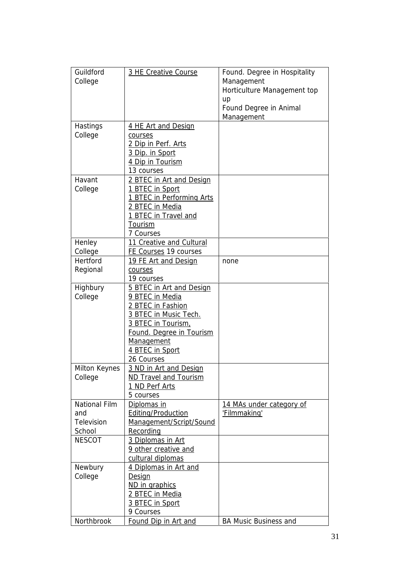| Guildford<br>College                                | 3 HE Creative Course                                                                                                                                                                       | Found. Degree in Hospitality<br>Management<br>Horticulture Management top<br>up<br>Found Degree in Animal<br>Management |
|-----------------------------------------------------|--------------------------------------------------------------------------------------------------------------------------------------------------------------------------------------------|-------------------------------------------------------------------------------------------------------------------------|
| Hastings<br>College                                 | 4 HE Art and Design<br>courses<br>2 Dip in Perf. Arts<br>3 Dip. in Sport<br>4 Dip in Tourism<br>13 courses                                                                                 |                                                                                                                         |
| Havant<br>College                                   | 2 BTEC in Art and Design<br>1 BTEC in Sport<br>1 BTEC in Performing Arts<br>2 BTEC in Media<br>1 BTEC in Travel and<br>Tourism<br>7 Courses                                                |                                                                                                                         |
| Henley                                              | 11 Creative and Cultural                                                                                                                                                                   |                                                                                                                         |
| College                                             | FE Courses 19 courses                                                                                                                                                                      |                                                                                                                         |
| Hertford<br>Regional                                | 19 FE Art and Design<br>courses<br>19 courses                                                                                                                                              | none                                                                                                                    |
| Highbury<br>College                                 | 5 BTEC in Art and Design<br>9 BTEC in Media<br>2 BTEC in Fashion<br>3 BTEC in Music Tech.<br>3 BTEC in Tourism,<br>Found. Degree in Tourism<br>Management<br>4 BTEC in Sport<br>26 Courses |                                                                                                                         |
| Milton Keynes<br>College                            | 3 ND in Art and Design<br><b>ND Travel and Tourism</b><br>1 ND Perf Arts<br>5 courses                                                                                                      |                                                                                                                         |
| <b>National Film</b><br>and<br>Television<br>School | Diplomas in<br><b>Editing/Production</b><br>Management/Script/Sound<br>Recording                                                                                                           | 14 MAs under category of<br>'Filmmaking'                                                                                |
| <b>NESCOT</b>                                       | 3 Diplomas in Art<br>9 other creative and<br>cultural diplomas                                                                                                                             |                                                                                                                         |
| Newbury<br>College                                  | 4 Diplomas in Art and<br>Design<br>ND in graphics<br>2 BTEC in Media<br>3 BTEC in Sport<br>9 Courses                                                                                       |                                                                                                                         |
| Northbrook                                          | <b>Found Dip in Art and</b>                                                                                                                                                                | <b>BA Music Business and</b>                                                                                            |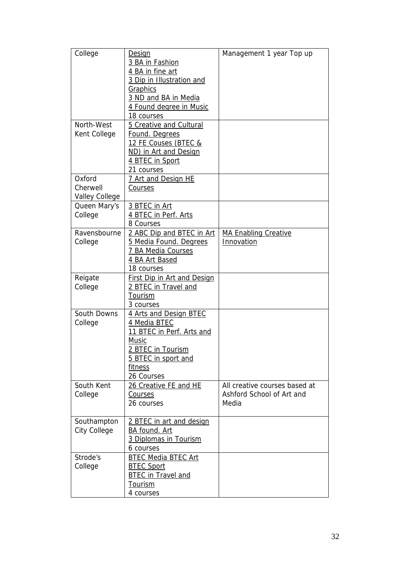| College               | <b>Design</b><br>3 BA in Fashion              | Management 1 year Top up      |
|-----------------------|-----------------------------------------------|-------------------------------|
|                       | 4 BA in fine art<br>3 Dip in Illustration and |                               |
|                       | <b>Graphics</b>                               |                               |
|                       | 3 ND and BA in Media                          |                               |
|                       | 4 Found degree in Music                       |                               |
|                       | 18 courses                                    |                               |
| North-West            | 5 Creative and Cultural                       |                               |
| Kent College          | Found. Degrees                                |                               |
|                       | 12 FE Couses (BTEC &                          |                               |
|                       | ND) in Art and Design                         |                               |
|                       | 4 BTEC in Sport                               |                               |
| Oxford                | 21 courses<br>7 Art and Design HE             |                               |
| Cherwell              | Courses                                       |                               |
| <b>Valley College</b> |                                               |                               |
| Queen Mary's          | 3 BTEC in Art                                 |                               |
| College               | 4 BTEC in Perf. Arts                          |                               |
|                       | 8 Courses                                     |                               |
| Ravensbourne          | 2 ABC Dip and BTEC in Art                     | <b>MA Enabling Creative</b>   |
| College               | 5 Media Found. Degrees                        | Innovation                    |
|                       | 7 BA Media Courses                            |                               |
|                       | 4 BA Art Based                                |                               |
|                       | 18 courses                                    |                               |
| Reigate               | <b>First Dip in Art and Design</b>            |                               |
| College               | 2 BTEC in Travel and                          |                               |
|                       | Tourism                                       |                               |
| South Downs           | 3 courses                                     |                               |
| College               | 4 Arts and Design BTEC<br>4 Media BTEC        |                               |
|                       | 11 BTEC in Perf. Arts and                     |                               |
|                       | <u>Music</u>                                  |                               |
|                       | 2 BTEC in Tourism                             |                               |
|                       | 5 BTEC in sport and                           |                               |
|                       | fitness                                       |                               |
|                       | 26 Courses                                    |                               |
| South Kent            | 26 Creative FE and HE                         | All creative courses based at |
| College               | Courses                                       | Ashford School of Art and     |
|                       | 26 courses                                    | Media                         |
|                       |                                               |                               |
| Southampton           | 2 BTEC in art and design                      |                               |
| <b>City College</b>   | BA found. Art<br>3 Diplomas in Tourism        |                               |
|                       | 6 courses                                     |                               |
| Strode's              | <b>BTEC Media BTEC Art</b>                    |                               |
| College               | <b>BTEC Sport</b>                             |                               |
|                       | <b>BTEC</b> in Travel and                     |                               |
|                       | <b>Tourism</b>                                |                               |
|                       | 4 courses                                     |                               |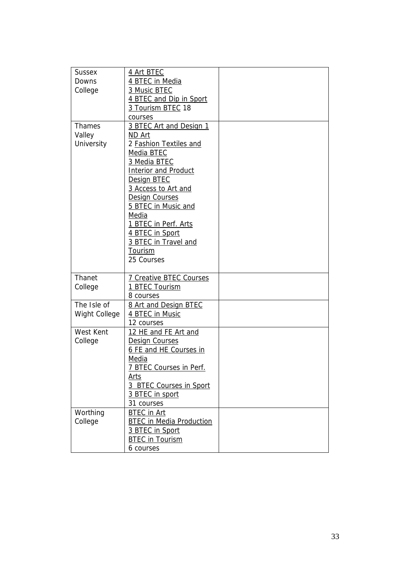| <b>Sussex</b> | 4 Art BTEC                      |  |
|---------------|---------------------------------|--|
| Downs         | 4 BTEC in Media                 |  |
| College       | 3 Music BTEC                    |  |
|               | 4 BTEC and Dip in Sport         |  |
|               | 3 Tourism BTEC 18               |  |
|               | courses                         |  |
| Thames        | 3 BTEC Art and Design 1         |  |
| Valley        | ND Art                          |  |
| University    | 2 Fashion Textiles and          |  |
|               | Media BTEC                      |  |
|               | 3 Media BTEC                    |  |
|               | <b>Interior and Product</b>     |  |
|               | Design BTEC                     |  |
|               | 3 Access to Art and             |  |
|               | <b>Design Courses</b>           |  |
|               | 5 BTEC in Music and             |  |
|               | <b>Media</b>                    |  |
|               | 1 BTEC in Perf. Arts            |  |
|               | 4 BTEC in Sport                 |  |
|               | 3 BTEC in Travel and            |  |
|               | Tourism                         |  |
|               | 25 Courses                      |  |
|               |                                 |  |
| Thanet        | <b>7 Creative BTEC Courses</b>  |  |
| College       | 1 BTEC Tourism                  |  |
|               | 8 courses                       |  |
| The Isle of   | 8 Art and Design BTEC           |  |
| Wight College | 4 BTEC in Music                 |  |
|               | 12 courses                      |  |
| West Kent     | 12 HE and FE Art and            |  |
| College       | <b>Design Courses</b>           |  |
|               | 6 FE and HE Courses in          |  |
|               | Media                           |  |
|               | 7 BTEC Courses in Perf.         |  |
|               | Arts                            |  |
|               | 3 BTEC Courses in Sport         |  |
|               | 3 BTEC in sport                 |  |
|               | 31 courses                      |  |
| Worthing      | <b>BTEC</b> in Art              |  |
| College       | <b>BTEC in Media Production</b> |  |
|               | 3 BTEC in Sport                 |  |
|               | <b>BTEC</b> in Tourism          |  |
|               | 6 courses                       |  |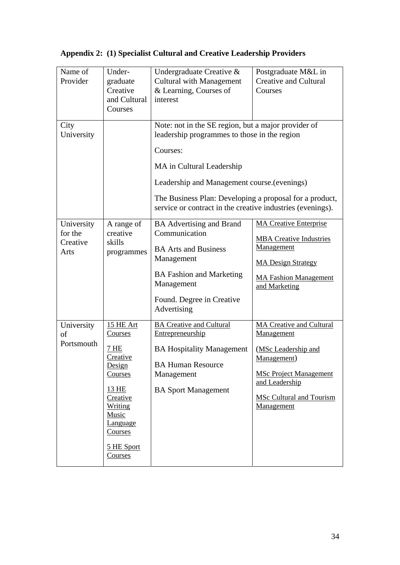|  |  |  | Appendix 2: (1) Specialist Cultural and Creative Leadership Providers |
|--|--|--|-----------------------------------------------------------------------|
|--|--|--|-----------------------------------------------------------------------|

| Name of<br>Provider                       | Under-<br>graduate<br>Creative<br>and Cultural<br>Courses                                                                                                            | Undergraduate Creative &<br><b>Cultural with Management</b><br>& Learning, Courses of<br>interest                                                                                                                                                                                                                    | Postgraduate M&L in<br><b>Creative and Cultural</b><br>Courses                                                                                                                          |
|-------------------------------------------|----------------------------------------------------------------------------------------------------------------------------------------------------------------------|----------------------------------------------------------------------------------------------------------------------------------------------------------------------------------------------------------------------------------------------------------------------------------------------------------------------|-----------------------------------------------------------------------------------------------------------------------------------------------------------------------------------------|
| City<br>University                        |                                                                                                                                                                      | Note: not in the SE region, but a major provider of<br>leadership programmes to those in the region<br>Courses:<br>MA in Cultural Leadership<br>Leadership and Management course (evenings)<br>The Business Plan: Developing a proposal for a product,<br>service or contract in the creative industries (evenings). |                                                                                                                                                                                         |
| University<br>for the<br>Creative<br>Arts | A range of<br>creative<br>skills<br>programmes                                                                                                                       | <b>BA</b> Advertising and Brand<br>Communication<br><b>BA Arts and Business</b><br>Management<br><b>BA Fashion and Marketing</b><br>Management<br>Found. Degree in Creative<br>Advertising                                                                                                                           | <b>MA Creative Enterprise</b><br><b>MBA Creative Industries</b><br><b>Management</b><br><b>MA Design Strategy</b><br><b>MA Fashion Management</b><br>and Marketing                      |
| University<br>of<br>Portsmouth            | 15 HE Art<br>Courses<br>7 HE<br>Creative<br>Design<br>Courses<br>13 HE<br>Creative<br>Writing<br>Music<br><b>Language</b><br><u>Courses</u><br>5 HE Sport<br>Courses | <b>BA Creative and Cultural</b><br>Entrepreneurship<br><b>BA Hospitality Management</b><br><b>BA Human Resource</b><br>Management<br><b>BA Sport Management</b>                                                                                                                                                      | <b>MA Creative and Cultural</b><br>Management<br>(MSc Leadership and<br>Management)<br><b>MSc Project Management</b><br>and Leadership<br><b>MSc Cultural and Tourism</b><br>Management |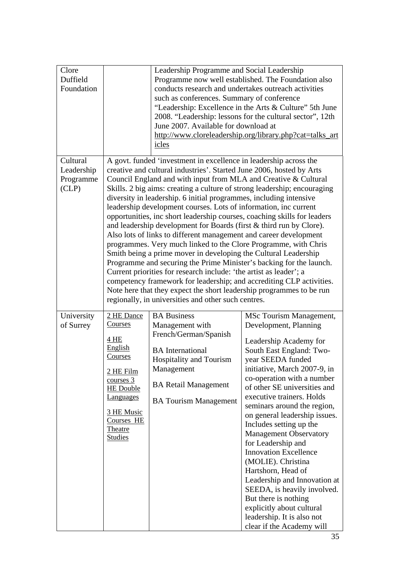| Clore<br>Duffield<br>Foundation             |                                                                                                                                                                        | Leadership Programme and Social Leadership<br>conducts research and undertakes outreach activities<br>such as conferences. Summary of conference<br>June 2007. Available for download at<br>icles                                                                                                                                                                                                                                                                                                                                                                                                                                                                                                                                                                                                                                                                                                                                                                                                | Programme now well established. The Foundation also<br>"Leadership: Excellence in the Arts & Culture" 5th June<br>2008. "Leadership: lessons for the cultural sector", 12th<br>http://www.cloreleadership.org/library.php?cat=talks_art                                                                                                                                                                                                                                                                                                                                                                                                                             |
|---------------------------------------------|------------------------------------------------------------------------------------------------------------------------------------------------------------------------|--------------------------------------------------------------------------------------------------------------------------------------------------------------------------------------------------------------------------------------------------------------------------------------------------------------------------------------------------------------------------------------------------------------------------------------------------------------------------------------------------------------------------------------------------------------------------------------------------------------------------------------------------------------------------------------------------------------------------------------------------------------------------------------------------------------------------------------------------------------------------------------------------------------------------------------------------------------------------------------------------|---------------------------------------------------------------------------------------------------------------------------------------------------------------------------------------------------------------------------------------------------------------------------------------------------------------------------------------------------------------------------------------------------------------------------------------------------------------------------------------------------------------------------------------------------------------------------------------------------------------------------------------------------------------------|
| Cultural<br>Leadership<br>Programme<br>CLP) |                                                                                                                                                                        | A govt. funded 'investment in excellence in leadership across the<br>creative and cultural industries'. Started June 2006, hosted by Arts<br>Council England and with input from MLA and Creative & Cultural<br>diversity in leadership. 6 initial programmes, including intensive<br>leadership development courses. Lots of information, inc current<br>opportunities, inc short leadership courses, coaching skills for leaders<br>and leadership development for Boards (first & third run by Clore).<br>Also lots of links to different management and career development<br>programmes. Very much linked to the Clore Programme, with Chris<br>Smith being a prime mover in developing the Cultural Leadership<br>Programme and securing the Prime Minister's backing for the launch.<br>Current priorities for research include: 'the artist as leader'; a<br>Note here that they expect the short leadership programmes to be run<br>regionally, in universities and other such centres. | Skills. 2 big aims: creating a culture of strong leadership; encouraging<br>competency framework for leadership; and accrediting CLP activities.                                                                                                                                                                                                                                                                                                                                                                                                                                                                                                                    |
| University<br>of Surrey                     | 2 HE Dance<br>Courses<br>4 HE<br>English<br>Courses<br>2 HE Film<br>course 3<br><b>HE</b> Double<br>Languages<br>3 HE Music<br>Courses HE<br>Theatre<br><b>Studies</b> | <b>BA</b> Business<br>Management with<br>French/German/Spanish<br><b>BA</b> International<br>Hospitality and Tourism<br>Management<br><b>BA Retail Management</b><br><b>BA Tourism Management</b>                                                                                                                                                                                                                                                                                                                                                                                                                                                                                                                                                                                                                                                                                                                                                                                                | MSc Tourism Management,<br>Development, Planning<br>Leadership Academy for<br>South East England: Two-<br>year SEEDA funded<br>initiative, March 2007-9, in<br>co-operation with a number<br>of other SE universities and<br>executive trainers. Holds<br>seminars around the region,<br>on general leadership issues.<br>Includes setting up the<br><b>Management Observatory</b><br>for Leadership and<br><b>Innovation Excellence</b><br>(MOLIE). Christina<br>Hartshorn, Head of<br>Leadership and Innovation at<br>SEEDA, is heavily involved.<br>But there is nothing<br>explicitly about cultural<br>leadership. It is also not<br>clear if the Academy will |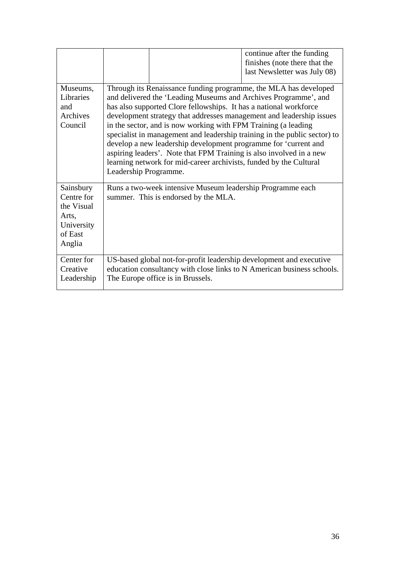|                                                                                   |                                                                                                                                                                                                                                                                                                                                                                                                                                                                                                                                                                                                                                                                          | continue after the funding<br>finishes (note there that the<br>last Newsletter was July 08) |
|-----------------------------------------------------------------------------------|--------------------------------------------------------------------------------------------------------------------------------------------------------------------------------------------------------------------------------------------------------------------------------------------------------------------------------------------------------------------------------------------------------------------------------------------------------------------------------------------------------------------------------------------------------------------------------------------------------------------------------------------------------------------------|---------------------------------------------------------------------------------------------|
| Museums,<br>Libraries<br>and<br>Archives<br>Council                               | Through its Renaissance funding programme, the MLA has developed<br>and delivered the 'Leading Museums and Archives Programme', and<br>has also supported Clore fellowships. It has a national workforce<br>development strategy that addresses management and leadership issues<br>in the sector, and is now working with FPM Training (a leading<br>specialist in management and leadership training in the public sector) to<br>develop a new leadership development programme for 'current and<br>aspiring leaders'. Note that FPM Training is also involved in a new<br>learning network for mid-career archivists, funded by the Cultural<br>Leadership Programme. |                                                                                             |
| Sainsbury<br>Centre for<br>the Visual<br>Arts,<br>University<br>of East<br>Anglia | Runs a two-week intensive Museum leadership Programme each<br>summer. This is endorsed by the MLA.                                                                                                                                                                                                                                                                                                                                                                                                                                                                                                                                                                       |                                                                                             |
| Center for<br>Creative<br>Leadership                                              | US-based global not-for-profit leadership development and executive<br>education consultancy with close links to N American business schools.<br>The Europe office is in Brussels.                                                                                                                                                                                                                                                                                                                                                                                                                                                                                       |                                                                                             |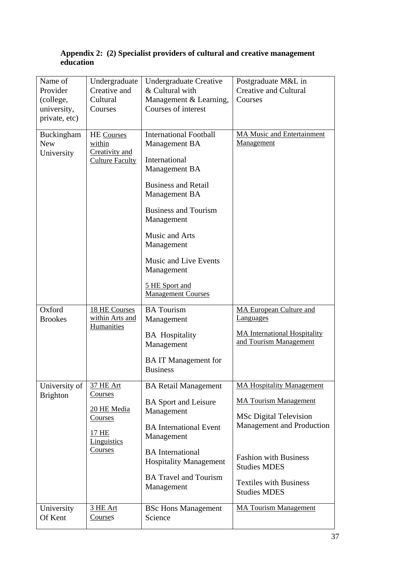#### **Appendix 2: (2) Specialist providers of cultural and creative management education**

| Name of<br>Provider<br>(college,<br>university,<br>private, etc) | Undergraduate<br>Creative and<br>Cultural<br>Courses                                     | <b>Undergraduate Creative</b><br>& Cultural with<br>Management & Learning,<br>Courses of interest                                                                                                                                                                                                         | Postgraduate M&L in<br><b>Creative and Cultural</b><br>Courses                                                                                                                                                                                       |
|------------------------------------------------------------------|------------------------------------------------------------------------------------------|-----------------------------------------------------------------------------------------------------------------------------------------------------------------------------------------------------------------------------------------------------------------------------------------------------------|------------------------------------------------------------------------------------------------------------------------------------------------------------------------------------------------------------------------------------------------------|
| Buckingham<br><b>New</b><br>University                           | <b>HE</b> Courses<br>within<br>Creativity and<br><b>Culture Faculty</b>                  | <b>International Football</b><br>Management BA<br>International<br>Management BA<br><b>Business and Retail</b><br>Management BA<br><b>Business and Tourism</b><br>Management<br>Music and Arts<br>Management<br><b>Music and Live Events</b><br>Management<br>5 HE Sport and<br><b>Management Courses</b> | <b>MA Music and Entertainment</b><br><b>Management</b>                                                                                                                                                                                               |
| Oxford<br><b>Brookes</b>                                         | 18 HE Courses<br>within Arts and<br>Humanities                                           | <b>BA</b> Tourism<br>Management<br><b>BA</b> Hospitality<br>Management<br><b>BAIT</b> Management for<br><b>Business</b>                                                                                                                                                                                   | <b>MA European Culture and</b><br><b>Languages</b><br><b>MA International Hospitality</b><br>and Tourism Management                                                                                                                                  |
| University of<br><b>Brighton</b>                                 | 37 HE Art<br>Courses<br>20 HE Media<br>Courses<br><u>17 HE</u><br>Linguistics<br>Courses | <b>BA Retail Management</b><br><b>BA</b> Sport and Leisure<br>Management<br><b>BA</b> International Event<br>Management<br><b>BA</b> International<br><b>Hospitality Management</b><br><b>BA Travel and Tourism</b><br>Management                                                                         | <b>MA Hospitality Management</b><br><b>MA Tourism Management</b><br><b>MSc Digital Television</b><br><b>Management and Production</b><br><b>Fashion with Business</b><br><b>Studies MDES</b><br><b>Textiles with Business</b><br><b>Studies MDES</b> |
| University<br>Of Kent                                            | 3 HE Art<br>Courses                                                                      | <b>BSc Hons Management</b><br>Science                                                                                                                                                                                                                                                                     | <b>MA Tourism Management</b>                                                                                                                                                                                                                         |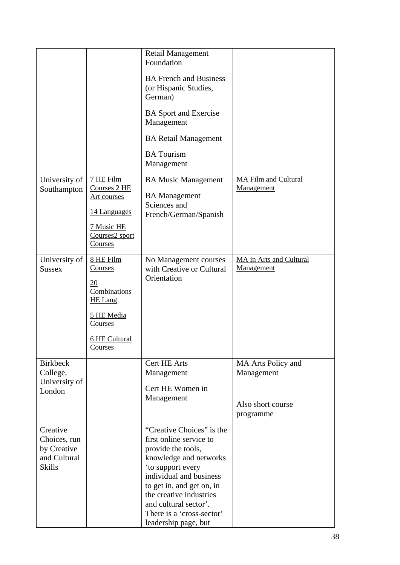|                                                                          |                                                                                                                                        | <b>Retail Management</b><br>Foundation                                                                                                                                                                                                                                                     |                                              |
|--------------------------------------------------------------------------|----------------------------------------------------------------------------------------------------------------------------------------|--------------------------------------------------------------------------------------------------------------------------------------------------------------------------------------------------------------------------------------------------------------------------------------------|----------------------------------------------|
|                                                                          |                                                                                                                                        | <b>BA French and Business</b><br>(or Hispanic Studies,<br>German)                                                                                                                                                                                                                          |                                              |
|                                                                          |                                                                                                                                        | <b>BA</b> Sport and Exercise<br>Management                                                                                                                                                                                                                                                 |                                              |
|                                                                          |                                                                                                                                        | <b>BA Retail Management</b>                                                                                                                                                                                                                                                                |                                              |
|                                                                          |                                                                                                                                        | <b>BA</b> Tourism<br>Management                                                                                                                                                                                                                                                            |                                              |
| University of<br>Southampton                                             | 7 HE Film<br>Courses 2 HE<br><u>Art courses</u><br>14 Languages<br>7 Music HE<br>Courses2 sport<br>Courses                             | <b>BA Music Management</b><br><b>BA</b> Management<br>Sciences and<br>French/German/Spanish                                                                                                                                                                                                | <b>MA Film and Cultural</b><br>Management    |
| University of<br><b>Sussex</b>                                           | 8 HE Film<br>Courses<br>20<br>Combinations<br><b>HE Lang</b><br>5 HE Media<br><b>Courses</b><br><b>6 HE Cultural</b><br><b>Courses</b> | No Management courses<br>with Creative or Cultural<br>Orientation                                                                                                                                                                                                                          | MA in Arts and Cultural<br><b>Management</b> |
| <b>Birkbeck</b><br>College,                                              |                                                                                                                                        | Cert HE Arts<br>Management                                                                                                                                                                                                                                                                 | MA Arts Policy and<br>Management             |
| University of<br>London                                                  |                                                                                                                                        | Cert HE Women in<br>Management                                                                                                                                                                                                                                                             | Also short course<br>programme               |
| Creative<br>Choices, run<br>by Creative<br>and Cultural<br><b>Skills</b> |                                                                                                                                        | "Creative Choices" is the<br>first online service to<br>provide the tools,<br>knowledge and networks<br>'to support every<br>individual and business<br>to get in, and get on, in<br>the creative industries<br>and cultural sector'.<br>There is a 'cross-sector'<br>leadership page, but |                                              |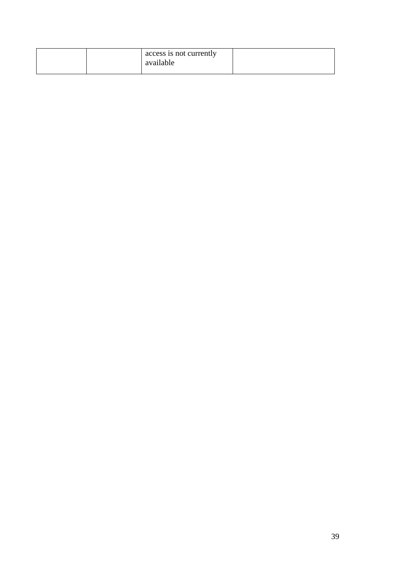|  | access is not currently<br>available |  |
|--|--------------------------------------|--|
|--|--------------------------------------|--|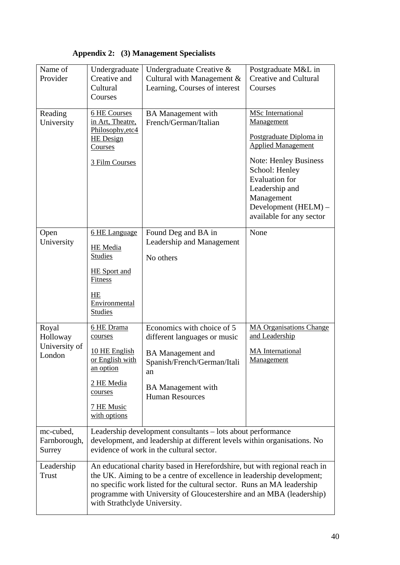| Name of<br>Provider                          | Undergraduate<br>Creative and<br>Cultural<br>Courses                                                                                                                                                                                                                                                                                  | Undergraduate Creative &<br>Cultural with Management &<br>Learning, Courses of interest                                                                                            | Postgraduate M&L in<br><b>Creative and Cultural</b><br>Courses                                                                                                                                                                                                |  |  |
|----------------------------------------------|---------------------------------------------------------------------------------------------------------------------------------------------------------------------------------------------------------------------------------------------------------------------------------------------------------------------------------------|------------------------------------------------------------------------------------------------------------------------------------------------------------------------------------|---------------------------------------------------------------------------------------------------------------------------------------------------------------------------------------------------------------------------------------------------------------|--|--|
| Reading<br>University                        | 6 HE Courses<br>in Art, Theatre,<br>Philosophy, etc4<br><b>HE</b> Design<br>Courses<br>3 Film Courses                                                                                                                                                                                                                                 | <b>BA</b> Management with<br>French/German/Italian                                                                                                                                 | <b>MSc</b> International<br>Management<br>Postgraduate Diploma in<br><b>Applied Management</b><br><b>Note: Henley Business</b><br>School: Henley<br><b>Evaluation</b> for<br>Leadership and<br>Management<br>Development (HELM) -<br>available for any sector |  |  |
| Open<br>University                           | 6 HE Language<br><b>HE</b> Media<br><b>Studies</b><br><b>HE</b> Sport and<br>Fitness<br>HE<br>Environmental<br><b>Studies</b>                                                                                                                                                                                                         | Found Deg and BA in<br>Leadership and Management<br>No others                                                                                                                      | None                                                                                                                                                                                                                                                          |  |  |
| Royal<br>Holloway<br>University of<br>London | 6 HE Drama<br>courses<br>10 HE English<br>or English with<br>an option<br>2 HE Media<br>courses<br>7 HE Music<br>with options                                                                                                                                                                                                         | Economics with choice of 5<br>different languages or music<br><b>BA</b> Management and<br>Spanish/French/German/Itali<br>an<br><b>BA</b> Management with<br><b>Human Resources</b> | <b>MA Organisations Change</b><br>and Leadership<br><b>MA</b> International<br>Management                                                                                                                                                                     |  |  |
| mc-cubed,<br>Farnborough,<br>Surrey          | Leadership development consultants – lots about performance<br>development, and leadership at different levels within organisations. No<br>evidence of work in the cultural sector.                                                                                                                                                   |                                                                                                                                                                                    |                                                                                                                                                                                                                                                               |  |  |
| Leadership<br><b>Trust</b>                   | An educational charity based in Herefordshire, but with regional reach in<br>the UK. Aiming to be a centre of excellence in leadership development;<br>no specific work listed for the cultural sector. Runs an MA leadership<br>programme with University of Gloucestershire and an MBA (leadership)<br>with Strathclyde University. |                                                                                                                                                                                    |                                                                                                                                                                                                                                                               |  |  |

## **Appendix 2: (3) Management Specialists**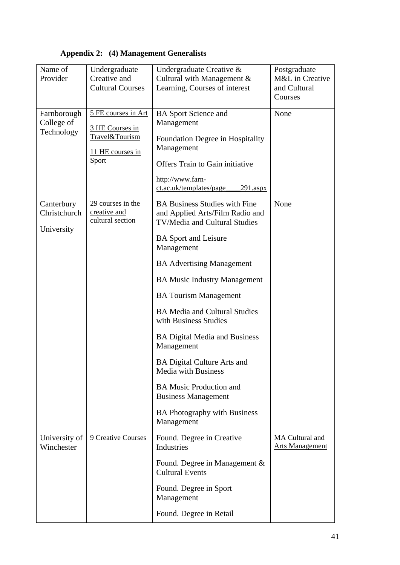| Name of                     | Undergraduate                     | Undergraduate Creative &                                         | Postgraduate                              |
|-----------------------------|-----------------------------------|------------------------------------------------------------------|-------------------------------------------|
| Provider                    | Creative and                      | Cultural with Management &                                       | M&L in Creative                           |
|                             | <b>Cultural Courses</b>           | Learning, Courses of interest                                    | and Cultural                              |
|                             |                                   |                                                                  | Courses                                   |
| Farnborough                 | 5 FE courses in Art               | <b>BA</b> Sport Science and                                      | None                                      |
| College of                  |                                   | Management                                                       |                                           |
| Technology                  | 3 HE Courses in<br>Travel&Tourism |                                                                  |                                           |
|                             |                                   | Foundation Degree in Hospitality<br>Management                   |                                           |
|                             | 11 HE courses in                  |                                                                  |                                           |
|                             | <b>Sport</b>                      | Offers Train to Gain initiative                                  |                                           |
|                             |                                   | http://www.farn-                                                 |                                           |
|                             |                                   | ct.ac.uk/templates/page<br>291.aspx                              |                                           |
| Canterbury                  | 29 courses in the                 | <b>BA Business Studies with Fine</b>                             | None                                      |
| Christchurch                | creative and                      | and Applied Arts/Film Radio and                                  |                                           |
| University                  | cultural section                  | TV/Media and Cultural Studies                                    |                                           |
|                             |                                   | <b>BA</b> Sport and Leisure                                      |                                           |
|                             |                                   | Management                                                       |                                           |
|                             |                                   | <b>BA Advertising Management</b>                                 |                                           |
|                             |                                   | <b>BA Music Industry Management</b>                              |                                           |
|                             |                                   | <b>BA Tourism Management</b>                                     |                                           |
|                             |                                   | <b>BA Media and Cultural Studies</b><br>with Business Studies    |                                           |
|                             |                                   | <b>BA Digital Media and Business</b><br>Management               |                                           |
|                             |                                   | <b>BA Digital Culture Arts and</b><br><b>Media with Business</b> |                                           |
|                             |                                   | <b>BA Music Production and</b><br><b>Business Management</b>     |                                           |
|                             |                                   | <b>BA Photography with Business</b><br>Management                |                                           |
| University of<br>Winchester | 9 Creative Courses                | Found. Degree in Creative<br>Industries                          | MA Cultural and<br><b>Arts Management</b> |
|                             |                                   | Found. Degree in Management $\&$<br><b>Cultural Events</b>       |                                           |
|                             |                                   | Found. Degree in Sport<br>Management                             |                                           |
|                             |                                   | Found. Degree in Retail                                          |                                           |

## **Appendix 2: (4) Management Generalists**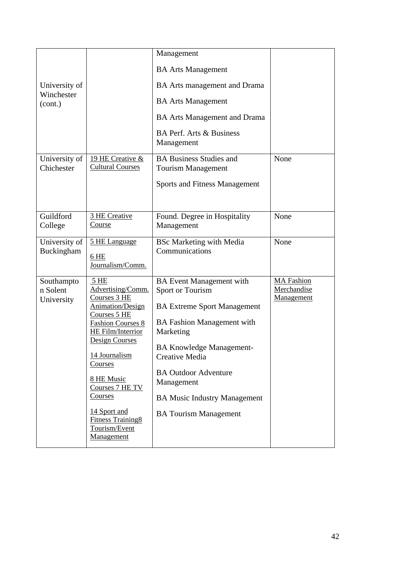| University of<br>Winchester<br>(cont.) |                                                                                                                                                                                                                                                                                                                          | Management<br><b>BA Arts Management</b><br>BA Arts management and Drama<br><b>BA Arts Management</b><br><b>BA Arts Management and Drama</b>                                                                                                                                                                          |                                                |
|----------------------------------------|--------------------------------------------------------------------------------------------------------------------------------------------------------------------------------------------------------------------------------------------------------------------------------------------------------------------------|----------------------------------------------------------------------------------------------------------------------------------------------------------------------------------------------------------------------------------------------------------------------------------------------------------------------|------------------------------------------------|
|                                        |                                                                                                                                                                                                                                                                                                                          | <b>BA Perf. Arts &amp; Business</b><br>Management                                                                                                                                                                                                                                                                    |                                                |
| University of<br>Chichester            | 19 HE Creative &<br><b>Cultural Courses</b>                                                                                                                                                                                                                                                                              | <b>BA Business Studies and</b><br><b>Tourism Management</b><br><b>Sports and Fitness Management</b>                                                                                                                                                                                                                  | None                                           |
| Guildford<br>College                   | 3 HE Creative<br>Course                                                                                                                                                                                                                                                                                                  | Found. Degree in Hospitality<br>Management                                                                                                                                                                                                                                                                           | None                                           |
| University of<br>Buckingham            | 5 HE Language<br>6 HE<br>Journalism/Comm.                                                                                                                                                                                                                                                                                | <b>BSc Marketing with Media</b><br>Communications                                                                                                                                                                                                                                                                    | None                                           |
| Southampto<br>n Solent<br>University   | 5 HE<br>Advertising/Comm.<br>Courses 3 HE<br><b>Animation/Design</b><br>Courses 5 HE<br><b>Fashion Courses 8</b><br>HE Film/Interrior<br>Design Courses<br>14 Journalism<br><b>Courses</b><br>8 HE Music<br>Courses 7 HE TV<br><u>Courses</u><br>14 Sport and<br><b>Fitness Training8</b><br>Tourism/Event<br>Management | <b>BA</b> Event Management with<br>Sport or Tourism<br><b>BA Extreme Sport Management</b><br><b>BA Fashion Management with</b><br>Marketing<br><b>BA Knowledge Management-</b><br>Creative Media<br><b>BA Outdoor Adventure</b><br>Management<br><b>BA Music Industry Management</b><br><b>BA Tourism Management</b> | <b>MA</b> Fashion<br>Merchandise<br>Management |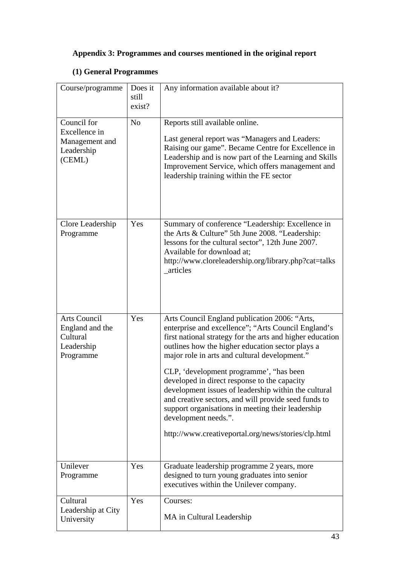## **Appendix 3: Programmes and courses mentioned in the original report**

## **(1) General Programmes**

| Course/programme                                                       | Does it<br>still<br>exist? | Any information available about it?                                                                                                                                                                                                                                                                                                                                                                                                                                                                                                                                                                                   |
|------------------------------------------------------------------------|----------------------------|-----------------------------------------------------------------------------------------------------------------------------------------------------------------------------------------------------------------------------------------------------------------------------------------------------------------------------------------------------------------------------------------------------------------------------------------------------------------------------------------------------------------------------------------------------------------------------------------------------------------------|
| Council for<br>Excellence in<br>Management and<br>Leadership<br>(CEML) | N <sub>o</sub>             | Reports still available online.<br>Last general report was "Managers and Leaders:<br>Raising our game". Became Centre for Excellence in<br>Leadership and is now part of the Learning and Skills<br>Improvement Service, which offers management and<br>leadership training within the FE sector                                                                                                                                                                                                                                                                                                                      |
| Clore Leadership<br>Programme                                          | Yes                        | Summary of conference "Leadership: Excellence in<br>the Arts & Culture" 5th June 2008. "Leadership:<br>lessons for the cultural sector", 12th June 2007.<br>Available for download at;<br>http://www.cloreleadership.org/library.php?cat=talks<br>_articles                                                                                                                                                                                                                                                                                                                                                           |
| Arts Council<br>England and the<br>Cultural<br>Leadership<br>Programme | Yes                        | Arts Council England publication 2006: "Arts,<br>enterprise and excellence"; "Arts Council England's<br>first national strategy for the arts and higher education<br>outlines how the higher education sector plays a<br>major role in arts and cultural development."<br>CLP, 'development programme', "has been<br>developed in direct response to the capacity<br>development issues of leadership within the cultural<br>and creative sectors, and will provide seed funds to<br>support organisations in meeting their leadership<br>development needs.".<br>http://www.creativeportal.org/news/stories/clp.html |
| Unilever<br>Programme                                                  | Yes                        | Graduate leadership programme 2 years, more<br>designed to turn young graduates into senior<br>executives within the Unilever company.                                                                                                                                                                                                                                                                                                                                                                                                                                                                                |
| Cultural<br>Leadership at City<br>University                           | Yes                        | Courses:<br>MA in Cultural Leadership                                                                                                                                                                                                                                                                                                                                                                                                                                                                                                                                                                                 |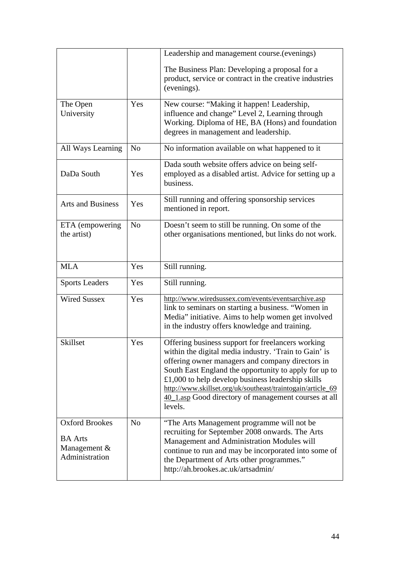|                                                                           |                | Leadership and management course (evenings)<br>The Business Plan: Developing a proposal for a<br>product, service or contract in the creative industries<br>(evenings).                                                                                                                                                                                                                                          |  |
|---------------------------------------------------------------------------|----------------|------------------------------------------------------------------------------------------------------------------------------------------------------------------------------------------------------------------------------------------------------------------------------------------------------------------------------------------------------------------------------------------------------------------|--|
| The Open<br>University                                                    | Yes            | New course: "Making it happen! Leadership,<br>influence and change" Level 2, Learning through<br>Working. Diploma of HE, BA (Hons) and foundation<br>degrees in management and leadership.                                                                                                                                                                                                                       |  |
| All Ways Learning                                                         | N <sub>o</sub> | No information available on what happened to it                                                                                                                                                                                                                                                                                                                                                                  |  |
| DaDa South                                                                | Yes            | Dada south website offers advice on being self-<br>employed as a disabled artist. Advice for setting up a<br>business.                                                                                                                                                                                                                                                                                           |  |
| <b>Arts and Business</b>                                                  | Yes            | Still running and offering sponsorship services<br>mentioned in report.                                                                                                                                                                                                                                                                                                                                          |  |
| ETA (empowering<br>the artist)                                            | N <sub>o</sub> | Doesn't seem to still be running. On some of the<br>other organisations mentioned, but links do not work.                                                                                                                                                                                                                                                                                                        |  |
| <b>MLA</b>                                                                | Yes            | Still running.                                                                                                                                                                                                                                                                                                                                                                                                   |  |
| <b>Sports Leaders</b>                                                     | Yes            | Still running.                                                                                                                                                                                                                                                                                                                                                                                                   |  |
| <b>Wired Sussex</b>                                                       | Yes            | http://www.wiredsussex.com/events/eventsarchive.asp<br>link to seminars on starting a business. "Women in<br>Media" initiative. Aims to help women get involved<br>in the industry offers knowledge and training.                                                                                                                                                                                                |  |
| Skillset                                                                  | Yes            | Offering business support for freelancers working<br>within the digital media industry. 'Train to Gain' is<br>offering owner managers and company directors in<br>South East England the opportunity to apply for up to<br>$£1,000$ to help develop business leadership skills<br>http://www.skillset.org/uk/southeast/traintogain/article_69<br>40_1.asp Good directory of management courses at all<br>levels. |  |
| <b>Oxford Brookes</b><br><b>BA</b> Arts<br>Management &<br>Administration | N <sub>o</sub> | "The Arts Management programme will not be<br>recruiting for September 2008 onwards. The Arts<br>Management and Administration Modules will<br>continue to run and may be incorporated into some of<br>the Department of Arts other programmes."<br>http://ah.brookes.ac.uk/artsadmin/                                                                                                                           |  |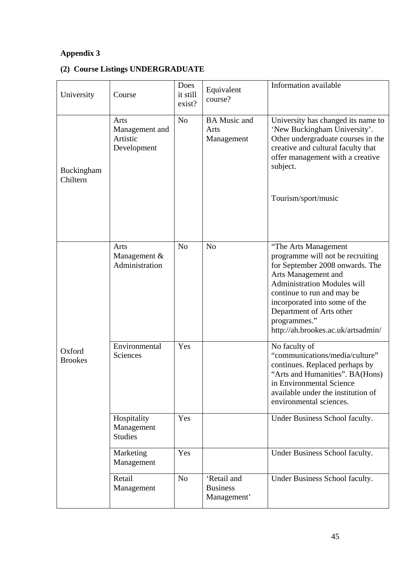## **Appendix 3**

## **(2) Course Listings UNDERGRADUATE**

| University               | Course                                            | Does<br>it still<br>exist? | Equivalent<br>course?                         | Information available                                                                                                                                                                                                                                                                                     |
|--------------------------|---------------------------------------------------|----------------------------|-----------------------------------------------|-----------------------------------------------------------------------------------------------------------------------------------------------------------------------------------------------------------------------------------------------------------------------------------------------------------|
| Buckingham<br>Chiltern   | Arts<br>Management and<br>Artistic<br>Development | N <sub>o</sub>             | <b>BA Music and</b><br>Arts<br>Management     | University has changed its name to<br>'New Buckingham University'.<br>Other undergraduate courses in the<br>creative and cultural faculty that<br>offer management with a creative<br>subject.<br>Tourism/sport/music                                                                                     |
|                          | Arts<br>Management $&$<br>Administration          | N <sub>o</sub>             | N <sub>o</sub>                                | "The Arts Management<br>programme will not be recruiting<br>for September 2008 onwards. The<br>Arts Management and<br><b>Administration Modules will</b><br>continue to run and may be<br>incorporated into some of the<br>Department of Arts other<br>programmes."<br>http://ah.brookes.ac.uk/artsadmin/ |
| Oxford<br><b>Brookes</b> | Environmental<br>Sciences                         | Yes                        |                                               | No faculty of<br>"communications/media/culture"<br>continues. Replaced perhaps by<br>"Arts and Humanities". BA(Hons)<br>in Environmental Science<br>available under the institution of<br>environmental sciences.                                                                                         |
|                          | Hospitality<br>Management<br><b>Studies</b>       | Yes                        |                                               | Under Business School faculty.                                                                                                                                                                                                                                                                            |
|                          | Marketing<br>Management                           | Yes                        |                                               | Under Business School faculty.                                                                                                                                                                                                                                                                            |
|                          | Retail<br>Management                              | N <sub>o</sub>             | 'Retail and<br><b>Business</b><br>Management' | Under Business School faculty.                                                                                                                                                                                                                                                                            |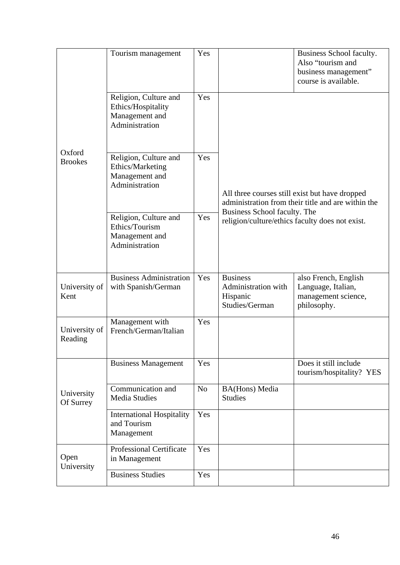|                          | Tourism management                                                              | Yes            |                                                                                                      | Business School faculty.<br>Also "tourism and<br>business management"<br>course is available. |  |
|--------------------------|---------------------------------------------------------------------------------|----------------|------------------------------------------------------------------------------------------------------|-----------------------------------------------------------------------------------------------|--|
|                          | Religion, Culture and<br>Ethics/Hospitality<br>Management and<br>Administration | Yes            |                                                                                                      |                                                                                               |  |
| Oxford<br><b>Brookes</b> | Religion, Culture and<br>Ethics/Marketing<br>Management and<br>Administration   | Yes            | All three courses still exist but have dropped<br>administration from their title and are within the |                                                                                               |  |
|                          | Religion, Culture and<br>Ethics/Tourism<br>Management and<br>Administration     | Yes            | Business School faculty. The<br>religion/culture/ethics faculty does not exist.                      |                                                                                               |  |
| University of<br>Kent    | <b>Business Administration</b><br>with Spanish/German                           | Yes            | <b>Business</b><br>Administration with<br>Hispanic<br>Studies/German                                 | also French, English<br>Language, Italian,<br>management science,<br>philosophy.              |  |
| University of<br>Reading | Management with<br>French/German/Italian                                        | Yes            |                                                                                                      |                                                                                               |  |
|                          | <b>Business Management</b>                                                      | Yes            |                                                                                                      | Does it still include<br>tourism/hospitality? YES                                             |  |
| University<br>Of Surrey  | Communication and<br><b>Media Studies</b>                                       | N <sub>o</sub> | <b>BA(Hons)</b> Media<br><b>Studies</b>                                                              |                                                                                               |  |
|                          | <b>International Hospitality</b><br>and Tourism<br>Management                   | Yes            |                                                                                                      |                                                                                               |  |
| Open<br>University       | <b>Professional Certificate</b><br>in Management                                | Yes            |                                                                                                      |                                                                                               |  |
|                          | <b>Business Studies</b>                                                         | Yes            |                                                                                                      |                                                                                               |  |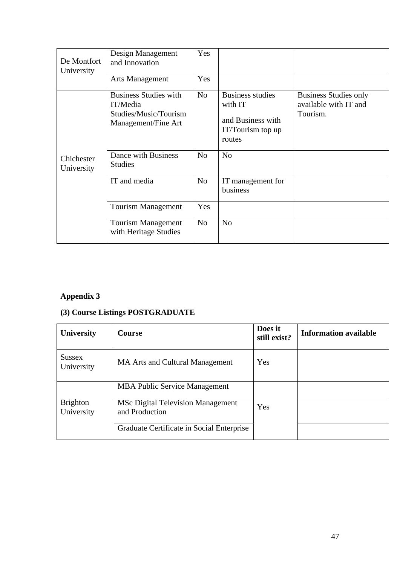| De Montfort<br>University | Design Management<br>and Innovation                                                      | Yes            |                                                                                        |                                                                   |
|---------------------------|------------------------------------------------------------------------------------------|----------------|----------------------------------------------------------------------------------------|-------------------------------------------------------------------|
|                           | <b>Arts Management</b>                                                                   | Yes            |                                                                                        |                                                                   |
|                           | <b>Business Studies with</b><br>IT/Media<br>Studies/Music/Tourism<br>Management/Fine Art | N <sub>o</sub> | <b>Business studies</b><br>with IT<br>and Business with<br>IT/Tourism top up<br>routes | <b>Business Studies only</b><br>available with IT and<br>Tourism. |
| Chichester<br>University  | Dance with Business<br><b>Studies</b>                                                    | No             | N <sub>o</sub>                                                                         |                                                                   |
|                           | IT and media                                                                             | N <sub>o</sub> | IT management for<br>business                                                          |                                                                   |
|                           | <b>Tourism Management</b>                                                                | Yes            |                                                                                        |                                                                   |
|                           | <b>Tourism Management</b><br>with Heritage Studies                                       | N <sub>o</sub> | N <sub>o</sub>                                                                         |                                                                   |

## **Appendix 3**

## **(3) Course Listings POSTGRADUATE**

| <b>University</b>             | <b>Course</b>                                              | Does it<br>still exist? | <b>Information available</b> |
|-------------------------------|------------------------------------------------------------|-------------------------|------------------------------|
| <b>Sussex</b><br>University   | <b>MA Arts and Cultural Management</b>                     | Yes                     |                              |
|                               | <b>MBA Public Service Management</b>                       |                         |                              |
| <b>Brighton</b><br>University | <b>MSc Digital Television Management</b><br>and Production | Yes                     |                              |
|                               | Graduate Certificate in Social Enterprise                  |                         |                              |